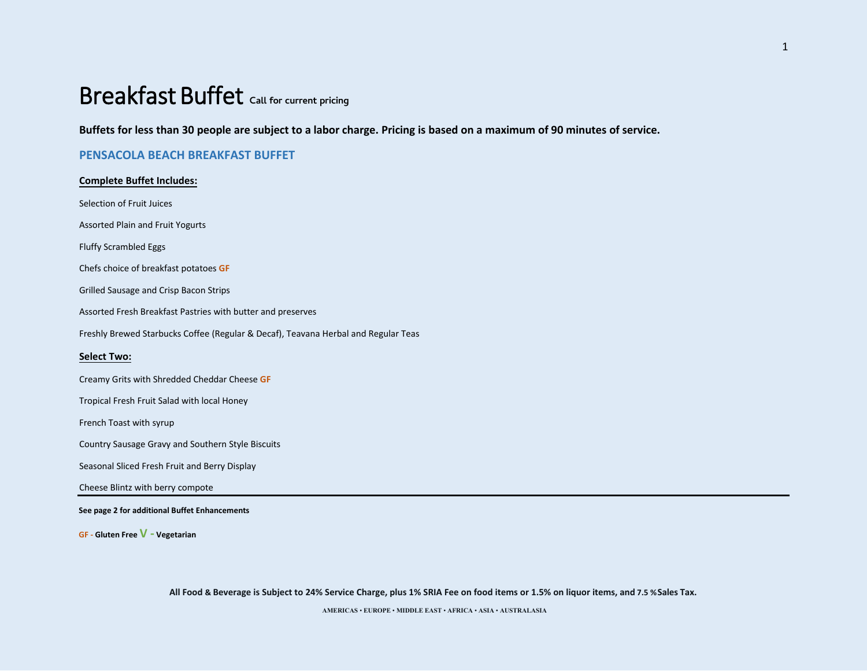# Breakfast Buffet **Call for current pricing**

**Buffets for less than 30 people are subject to a labor charge. Pricing is based on a maximum of 90 minutes of service.** 

#### **PENSACOLA BEACH BREAKFAST BUFFET**

## **Complete Buffet Includes:** Selection of Fruit Juices Assorted Plain and Fruit Yogurts Fluffy Scrambled Eggs Chefs choice of breakfast potatoes **GF**  Grilled Sausage and Crisp Bacon Strips Assorted Fresh Breakfast Pastries with butter and preserves Freshly Brewed Starbucks Coffee (Regular & Decaf), Teavana Herbal and Regular Teas **Select Two:** Creamy Grits with Shredded Cheddar Cheese **GF**  Tropical Fresh Fruit Salad with local Honey French Toast with syrup Country Sausage Gravy and Southern Style Biscuits Seasonal Sliced Fresh Fruit and Berry Display Cheese Blintz with berry compote

#### **See page 2 for additional Buffet Enhancements**

**GF - Gluten Free V - Vegetarian**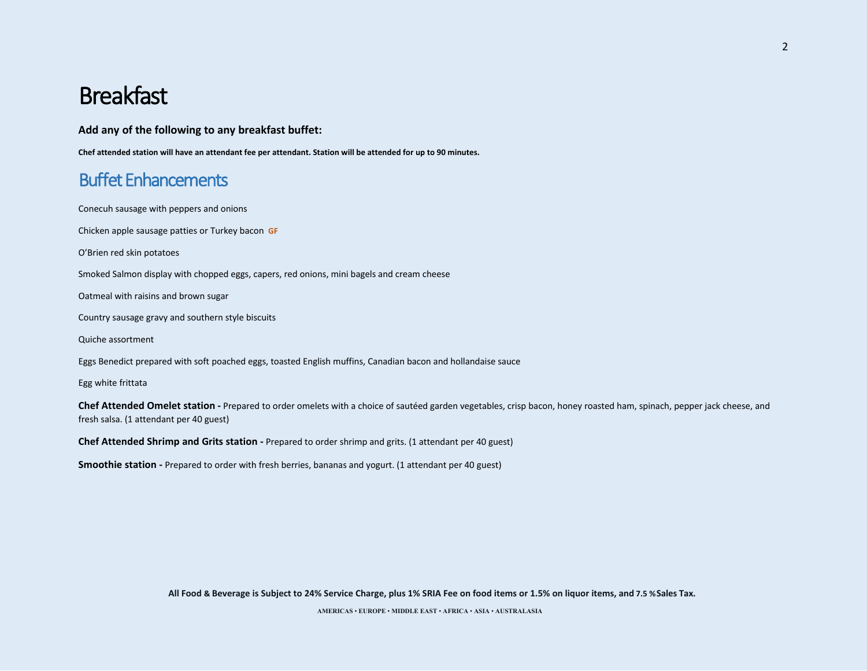# Breakfast

**Add any of the following to any breakfast buffet:** 

**Chef attended station will have an attendant fee per attendant. Station will be attended for up to 90 minutes.** 

## Buffet Enhancements

Conecuh sausage with peppers and onions

Chicken apple sausage patties or Turkey bacon **GF**

O'Brien red skin potatoes

Smoked Salmon display with chopped eggs, capers, red onions, mini bagels and cream cheese

Oatmeal with raisins and brown sugar

Country sausage gravy and southern style biscuits

Quiche assortment

Eggs Benedict prepared with soft poached eggs, toasted English muffins, Canadian bacon and hollandaise sauce

Egg white frittata

**Chef Attended Omelet station -** Prepared to order omelets with a choice of sautéed garden vegetables, crisp bacon, honey roasted ham, spinach, pepper jack cheese, and fresh salsa. (1 attendant per 40 guest)

**Chef Attended Shrimp and Grits station -** Prepared to order shrimp and grits. (1 attendant per 40 guest)

**Smoothie station -** Prepared to order with fresh berries, bananas and yogurt. (1 attendant per 40 guest)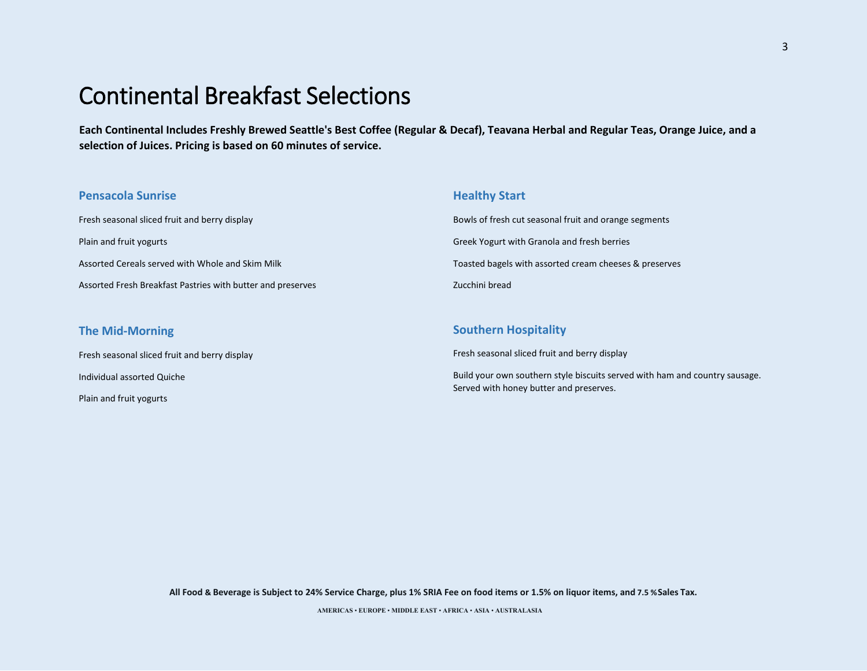# Continental Breakfast Selections

Plain and fruit yogurts

**Each Continental Includes Freshly Brewed Seattle's Best Coffee (Regular & Decaf), Teavana Herbal and Regular Teas, Orange Juice, and a selection of Juices. Pricing is based on 60 minutes of service.** 

| <b>Pensacola Sunrise</b>                                    | <b>Healthy Start</b>                                                                                                   |
|-------------------------------------------------------------|------------------------------------------------------------------------------------------------------------------------|
| Fresh seasonal sliced fruit and berry display               | Bowls of fresh cut seasonal fruit and orange segments                                                                  |
| Plain and fruit yogurts                                     | Greek Yogurt with Granola and fresh berries                                                                            |
| Assorted Cereals served with Whole and Skim Milk            | Toasted bagels with assorted cream cheeses & preserves                                                                 |
| Assorted Fresh Breakfast Pastries with butter and preserves | Zucchini bread                                                                                                         |
|                                                             |                                                                                                                        |
| <b>The Mid-Morning</b>                                      | <b>Southern Hospitality</b>                                                                                            |
| Fresh seasonal sliced fruit and berry display               | Fresh seasonal sliced fruit and berry display                                                                          |
| Individual assorted Quiche                                  | Build your own southern style biscuits served with ham and country sausage.<br>Served with honey butter and preserves. |

**All Food & Beverage is Subject to 24% Service Charge, plus 1% SRIA Fee on food items or 1.5% on liquor items, and 7.5 %Sales Tax.**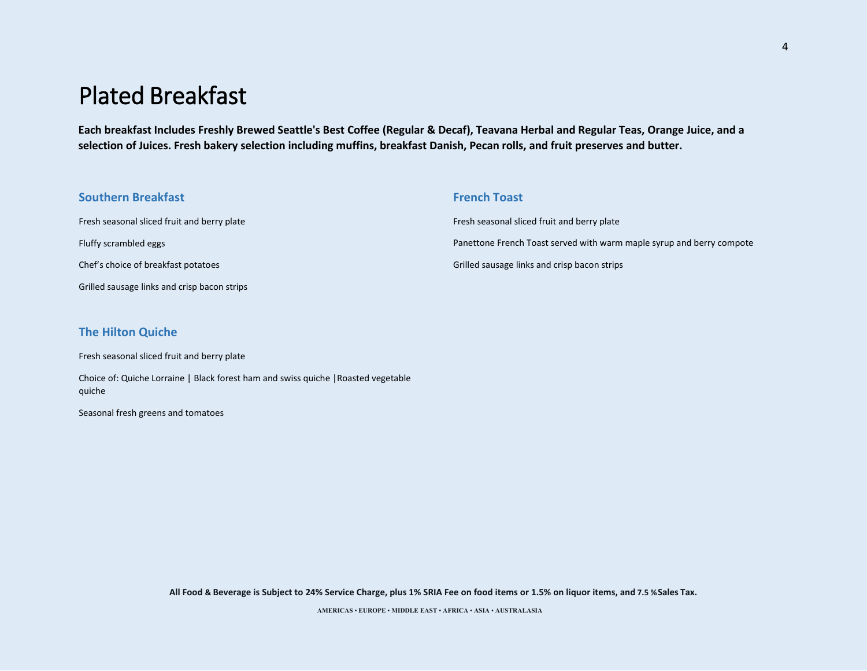# Plated Breakfast

**Each breakfast Includes Freshly Brewed Seattle's Best Coffee (Regular & Decaf), Teavana Herbal and Regular Teas, Orange Juice, and a selection of Juices. Fresh bakery selection including muffins, breakfast Danish, Pecan rolls, and fruit preserves and butter.** 

| <b>Southern Breakfast</b>                    | <b>French Toast</b>                                                   |
|----------------------------------------------|-----------------------------------------------------------------------|
| Fresh seasonal sliced fruit and berry plate  | Fresh seasonal sliced fruit and berry plate                           |
| Fluffy scrambled eggs                        | Panettone French Toast served with warm maple syrup and berry compote |
| Chef's choice of breakfast potatoes          | Grilled sausage links and crisp bacon strips                          |
| Grilled sausage links and crisp bacon strips |                                                                       |

#### **The Hilton Quiche**

Fresh seasonal sliced fruit and berry plate

Choice of: Quiche Lorraine | Black forest ham and swiss quiche |Roasted vegetable quiche

Seasonal fresh greens and tomatoes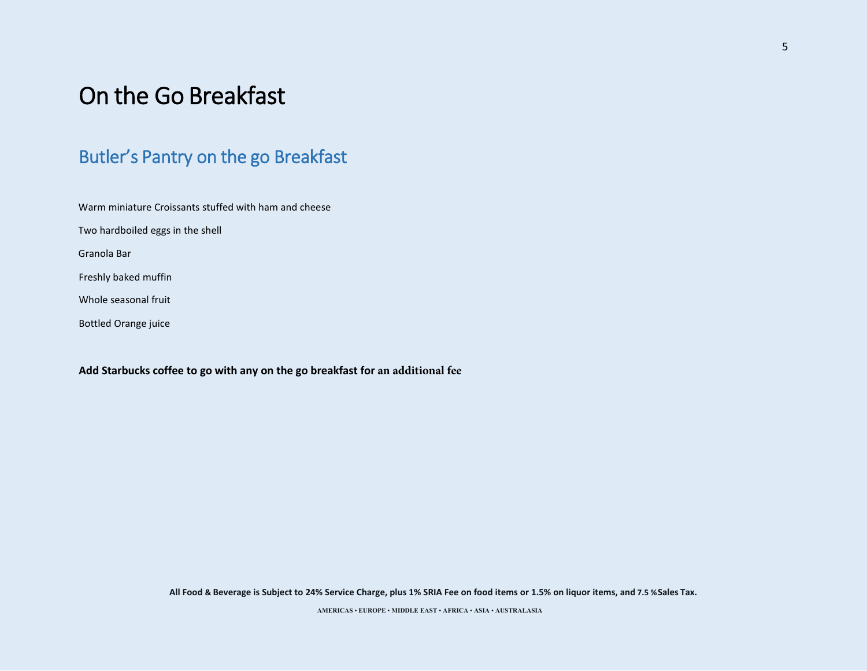# On the Go Breakfast

## Butler's Pantry on the go Breakfast

Warm miniature Croissants stuffed with ham and cheese

Two hardboiled eggs in the shell

Granola Bar

Freshly baked muffin

Whole seasonal fruit

Bottled Orange juice

**Add Starbucks coffee to go with any on the go breakfast for an additional fee**

**All Food & Beverage is Subject to 24% Service Charge, plus 1% SRIA Fee on food items or 1.5% on liquor items, and 7.5 %Sales Tax.**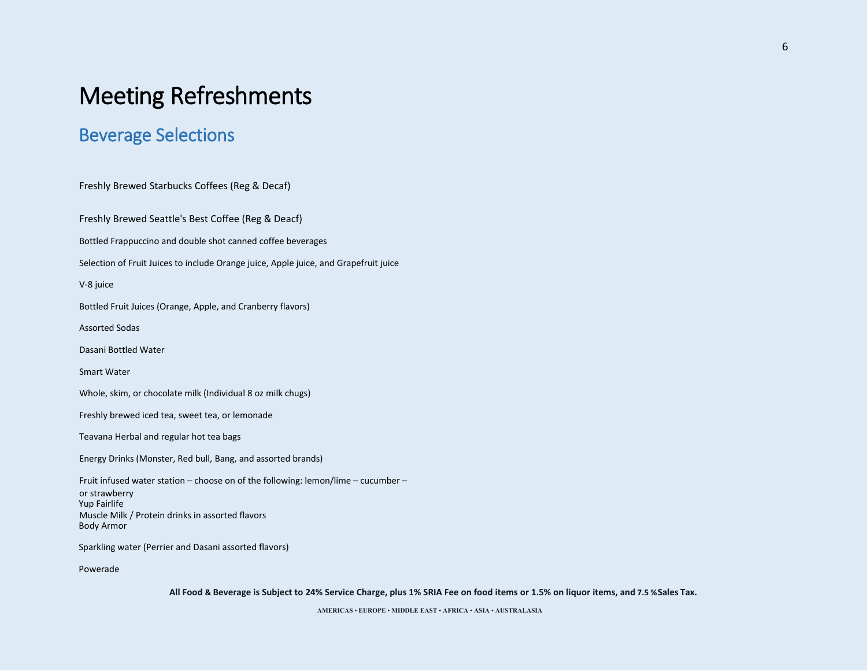## Beverage Selections

Freshly Brewed Starbucks Coffees (Reg & Decaf) Freshly Brewed Seattle's Best Coffee (Reg & Deacf) Bottled Frappuccino and double shot canned coffee beverages Selection of Fruit Juices to include Orange juice, Apple juice, and Grapefruit juice V-8 juice Bottled Fruit Juices (Orange, Apple, and Cranberry flavors) Assorted Sodas Dasani Bottled Water Smart Water Whole, skim, or chocolate milk (Individual 8 oz milk chugs) Freshly brewed iced tea, sweet tea, or lemonade Teavana Herbal and regular hot tea bags Energy Drinks (Monster, Red bull, Bang, and assorted brands) Fruit infused water station – choose on of the following: lemon/lime – cucumber – or strawberry Muscle Milk / Protein drinks in assorted flavors Yup Fairlife Body Armor Sparkling water (Perrier and Dasani assorted flavors) Powerade

**All Food & Beverage is Subject to 24% Service Charge, plus 1% SRIA Fee on food items or 1.5% on liquor items, and 7.5 %Sales Tax.**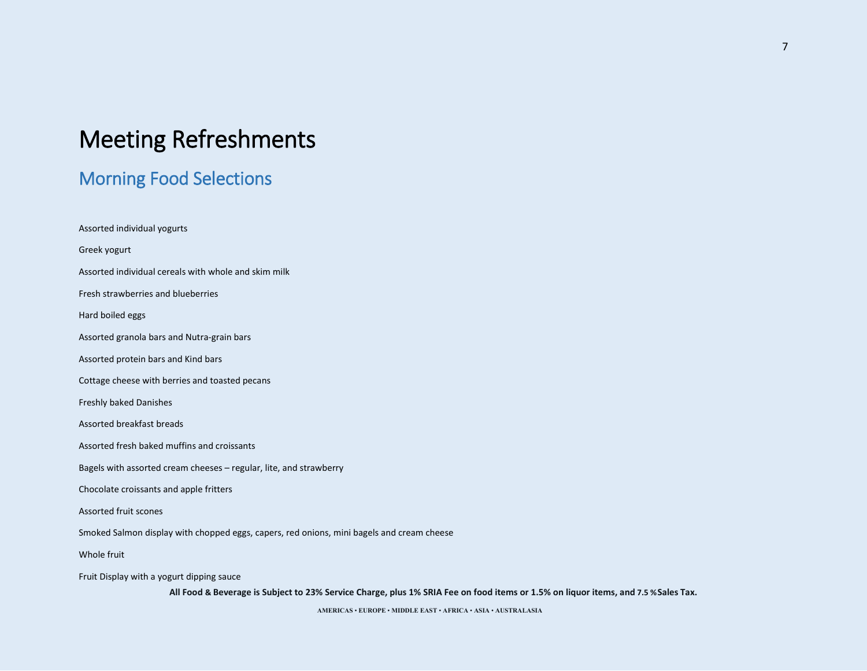## Morning Food Selections

Assorted individual yogurts Greek yogurt Assorted individual cereals with whole and skim milk Fresh strawberries and blueberries Hard boiled eggs Assorted granola bars and Nutra-grain bars Assorted protein bars and Kind bars Cottage cheese with berries and toasted pecans Freshly baked Danishes Assorted breakfast breads Assorted fresh baked muffins and croissants Bagels with assorted cream cheeses – regular, lite, and strawberry Chocolate croissants and apple fritters Assorted fruit scones Smoked Salmon display with chopped eggs, capers, red onions, mini bagels and cream cheese Whole fruit Fruit Display with a yogurt dipping sauce

**All Food & Beverage is Subject to 23% Service Charge, plus 1% SRIA Fee on food items or 1.5% on liquor items, and 7.5 %Sales Tax.**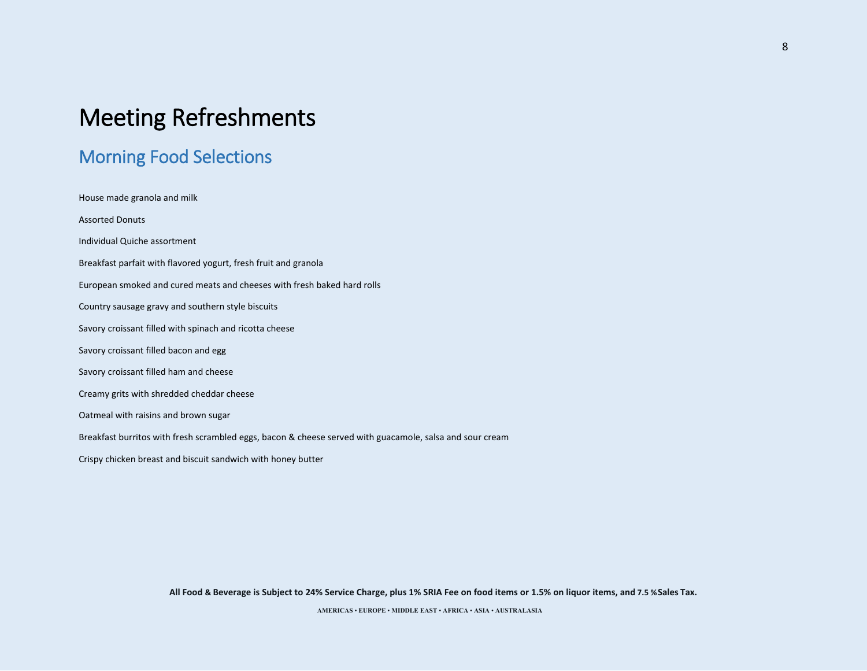## Morning Food Selections

House made granola and milk Assorted Donuts Individual Quiche assortment Breakfast parfait with flavored yogurt, fresh fruit and granola European smoked and cured meats and cheeses with fresh baked hard rolls Country sausage gravy and southern style biscuits Savory croissant filled with spinach and ricotta cheese Savory croissant filled bacon and egg Savory croissant filled ham and cheese Creamy grits with shredded cheddar cheese Oatmeal with raisins and brown sugar Breakfast burritos with fresh scrambled eggs, bacon & cheese served with guacamole, salsa and sour cream Crispy chicken breast and biscuit sandwich with honey butter

**All Food & Beverage is Subject to 24% Service Charge, plus 1% SRIA Fee on food items or 1.5% on liquor items, and 7.5 %Sales Tax.**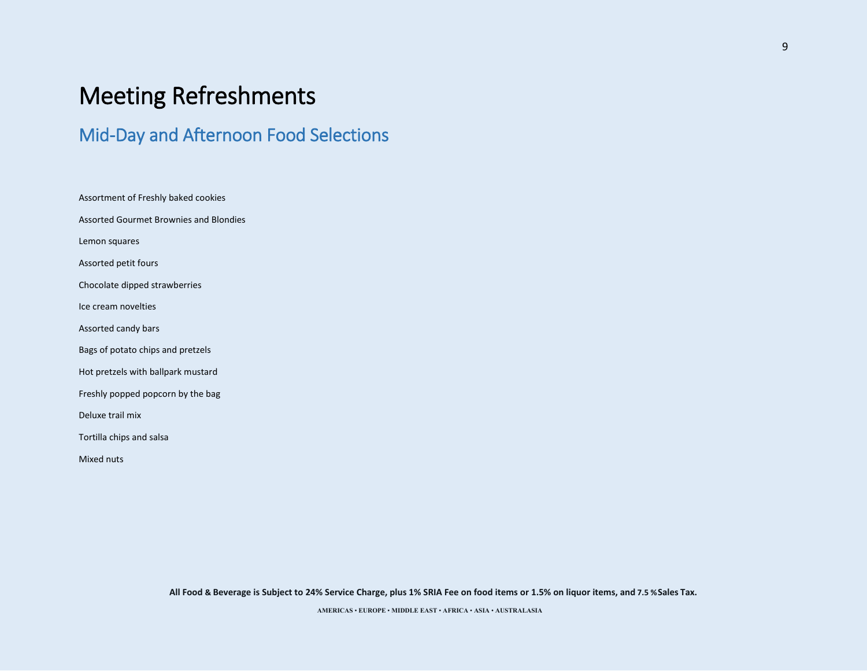## Mid-Day and Afternoon Food Selections

Assortment of Freshly baked cookies Assorted Gourmet Brownies and Blondies Lemon squares Assorted petit fours Chocolate dipped strawberries Ice cream novelties Assorted candy bars Bags of potato chips and pretzels Hot pretzels with ballpark mustard Freshly popped popcorn by the bag Deluxe trail mix Tortilla chips and salsa Mixed nuts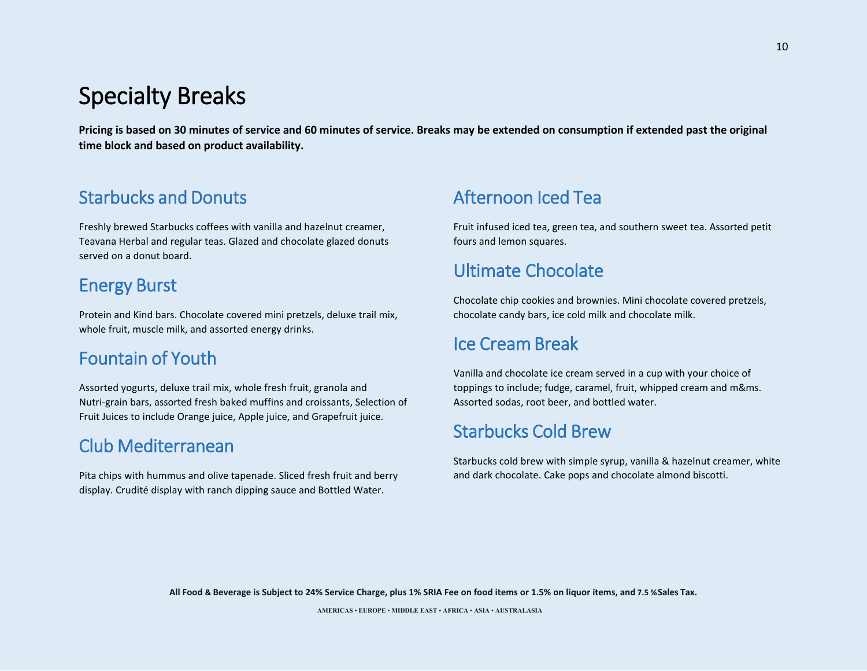# Specialty Breaks

**Pricing is based on 30 minutes of service and 60 minutes of service. Breaks may be extended on consumption if extended past the original time block and based on product availability.** 

## Starbucks and Donuts

Freshly brewed Starbucks coffees with vanilla and hazelnut creamer, Teavana Herbal and regular teas. Glazed and chocolate glazed donuts served on a donut board.

## Energy Burst

Protein and Kind bars. Chocolate covered mini pretzels, deluxe trail mix, whole fruit, muscle milk, and assorted energy drinks.

## Fountain of Youth

Assorted yogurts, deluxe trail mix, whole fresh fruit, granola and Nutri-grain bars, assorted fresh baked muffins and croissants, Selection of Fruit Juices to include Orange juice, Apple juice, and Grapefruit juice.

## Club Mediterranean

Pita chips with hummus and olive tapenade. Sliced fresh fruit and berry display. Crudité display with ranch dipping sauce and Bottled Water.

## Afternoon Iced Tea

Fruit infused iced tea, green tea, and southern sweet tea. Assorted petit fours and lemon squares.

## Ultimate Chocolate

Chocolate chip cookies and brownies. Mini chocolate covered pretzels, chocolate candy bars, ice cold milk and chocolate milk.

## Ice Cream Break

Vanilla and chocolate ice cream served in a cup with your choice of toppings to include; fudge, caramel, fruit, whipped cream and m&ms. Assorted sodas, root beer, and bottled water.

## Starbucks Cold Brew

Starbucks cold brew with simple syrup, vanilla & hazelnut creamer, white and dark chocolate. Cake pops and chocolate almond biscotti.

**All Food & Beverage is Subject to 24% Service Charge, plus 1% SRIA Fee on food items or 1.5% on liquor items, and 7.5 %Sales Tax.**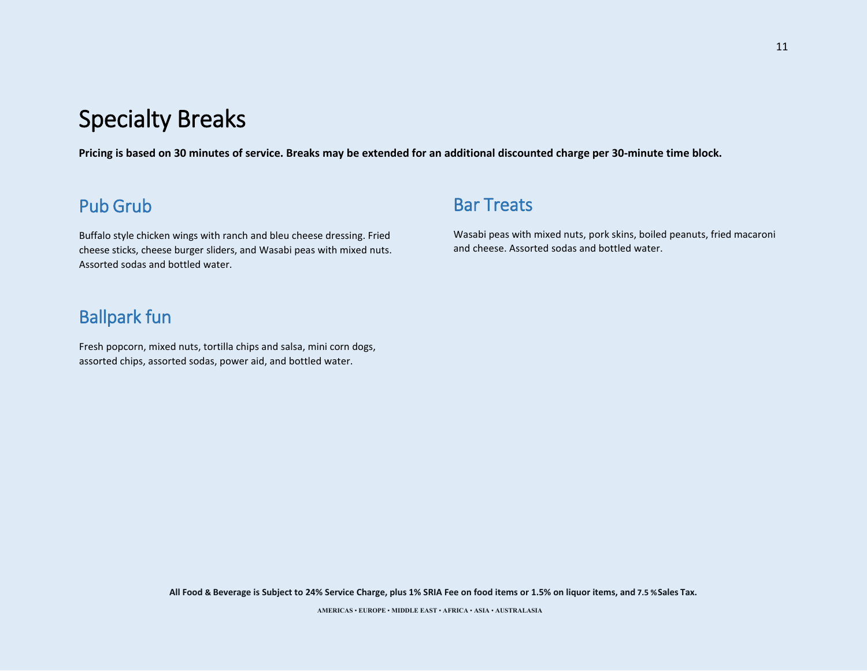# Specialty Breaks

**Pricing is based on 30 minutes of service. Breaks may be extended for an additional discounted charge per 30-minute time block.** 

## Pub Grub

Buffalo style chicken wings with ranch and bleu cheese dressing. Fried cheese sticks, cheese burger sliders, and Wasabi peas with mixed nuts. Assorted sodas and bottled water.

## Bar Treats

Wasabi peas with mixed nuts, pork skins, boiled peanuts, fried macaroni and cheese. Assorted sodas and bottled water.

## Ballpark fun

Fresh popcorn, mixed nuts, tortilla chips and salsa, mini corn dogs, assorted chips, assorted sodas, power aid, and bottled water.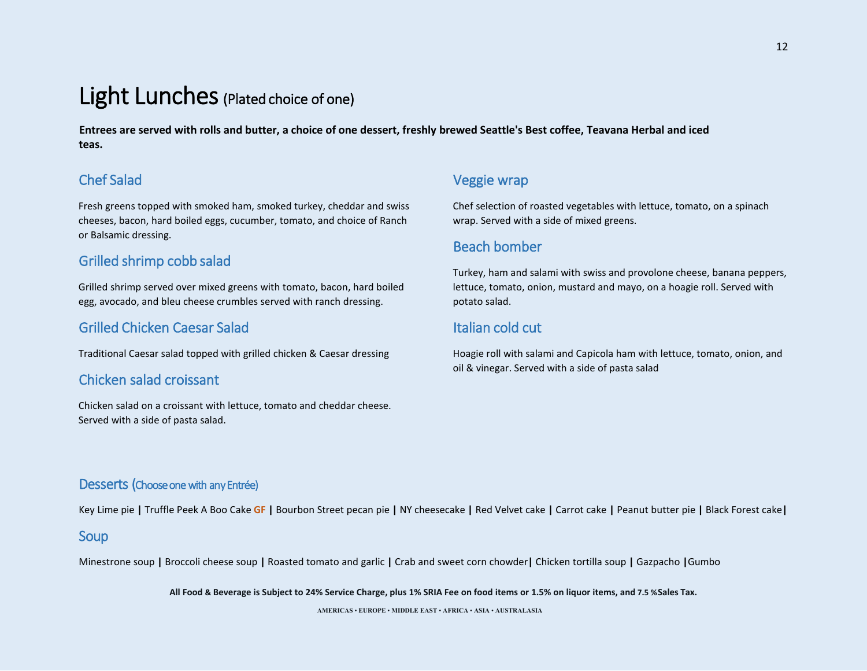# Light Lunches (Plated choice of one)

**Entrees are served with rolls and butter, a choice of one dessert, freshly brewed Seattle's Best coffee, Teavana Herbal and iced teas.** 

## Chef Salad

Fresh greens topped with smoked ham, smoked turkey, cheddar and swiss cheeses, bacon, hard boiled eggs, cucumber, tomato, and choice of Ranch or Balsamic dressing.

## Grilled shrimp cobb salad

Grilled shrimp served over mixed greens with tomato, bacon, hard boiled egg, avocado, and bleu cheese crumbles served with ranch dressing.

## Grilled Chicken Caesar Salad

Traditional Caesar salad topped with grilled chicken & Caesar dressing

### Chicken salad croissant

Chicken salad on a croissant with lettuce, tomato and cheddar cheese. Served with a side of pasta salad.

### Veggie wrap

Chef selection of roasted vegetables with lettuce, tomato, on a spinach wrap. Served with a side of mixed greens.

## Beach bomber

Turkey, ham and salami with swiss and provolone cheese, banana peppers, lettuce, tomato, onion, mustard and mayo, on a hoagie roll. Served with potato salad.

## Italian cold cut

Hoagie roll with salami and Capicola ham with lettuce, tomato, onion, and oil & vinegar. Served with a side of pasta salad

### Desserts (Choose one with any Entrée)

Key Lime pie **|** Truffle Peek A Boo Cake **GF |** Bourbon Street pecan pie **|** NY cheesecake **|** Red Velvet cake **|** Carrot cake **|** Peanut butter pie **|** Black Forest cake**|** 

#### Soup

Minestrone soup **|** Broccoli cheese soup **|** Roasted tomato and garlic **|** Crab and sweet corn chowder**|** Chicken tortilla soup **|** Gazpacho **|**Gumbo

**All Food & Beverage is Subject to 24% Service Charge, plus 1% SRIA Fee on food items or 1.5% on liquor items, and 7.5 %Sales Tax.** 

12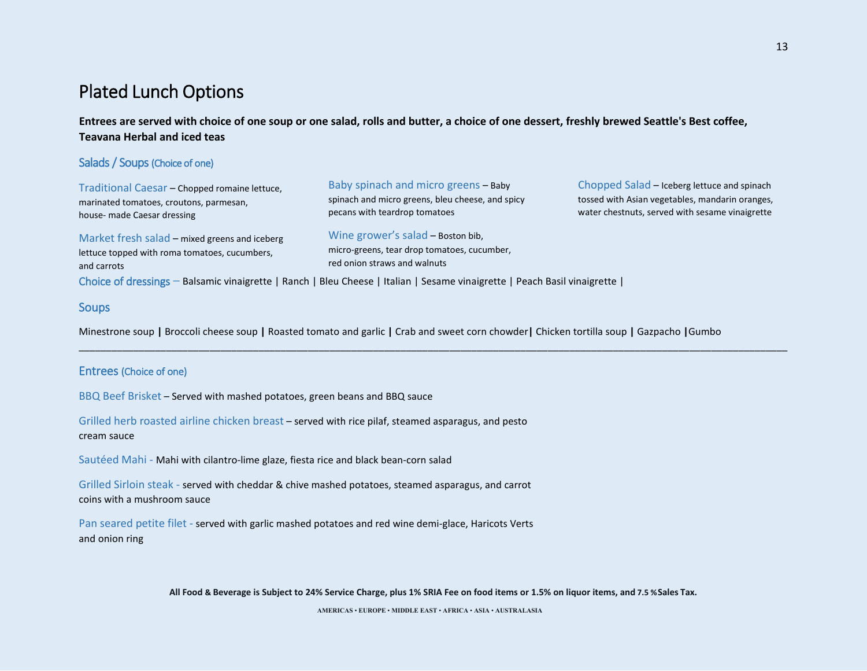## Plated Lunch Options

**Entrees are served with choice of one soup or one salad, rolls and butter, a choice of one dessert, freshly brewed Seattle's Best coffee, Teavana Herbal and iced teas**

#### Salads / Soups (Choice of one)

Traditional Caesar – Chopped romaine lettuce, marinated tomatoes, croutons, parmesan, house- made Caesar dressing

Market fresh salad – mixed greens and iceberg lettuce topped with roma tomatoes, cucumbers, and carrots

Baby spinach and micro greens – Baby spinach and micro greens, bleu cheese, and spicy pecans with teardrop tomatoes

Wine grower's salad – Boston bib, micro-greens, tear drop tomatoes, cucumber, red onion straws and walnuts

\_\_\_\_\_\_\_\_\_\_\_\_\_\_\_\_\_\_\_\_\_\_\_\_\_\_\_\_\_\_\_\_\_\_\_\_\_\_\_\_\_\_\_\_\_\_\_\_\_\_\_\_\_\_\_\_\_\_\_\_\_\_\_\_\_\_\_\_\_\_\_\_\_\_\_\_\_\_\_\_\_\_\_\_\_\_\_\_\_\_\_\_\_\_\_\_\_\_\_\_\_\_\_\_\_\_\_\_\_\_\_\_\_\_\_\_\_\_\_\_\_\_\_\_\_\_\_\_\_\_

Chopped Salad – Iceberg lettuce and spinach tossed with Asian vegetables, mandarin oranges, water chestnuts, served with sesame vinaigrette

Choice of dressings – Balsamic vinaigrette | Ranch | Bleu Cheese | Italian | Sesame vinaigrette | Peach Basil vinaigrette |

#### **Soups**

Minestrone soup **|** Broccoli cheese soup **|** Roasted tomato and garlic **|** Crab and sweet corn chowder**|** Chicken tortilla soup **|** Gazpacho **|**Gumbo

#### Entrees (Choice of one)

BBQ Beef Brisket – Served with mashed potatoes, green beans and BBQ sauce

Grilled herb roasted airline chicken breast – served with rice pilaf, steamed asparagus, and pesto cream sauce

Sautéed Mahi - Mahi with cilantro-lime glaze, fiesta rice and black bean-corn salad

Grilled Sirloin steak - served with cheddar & chive mashed potatoes, steamed asparagus, and carrot coins with a mushroom sauce

Pan seared petite filet - served with garlic mashed potatoes and red wine demi-glace, Haricots Verts and onion ring

**All Food & Beverage is Subject to 24% Service Charge, plus 1% SRIA Fee on food items or 1.5% on liquor items, and 7.5 %Sales Tax.**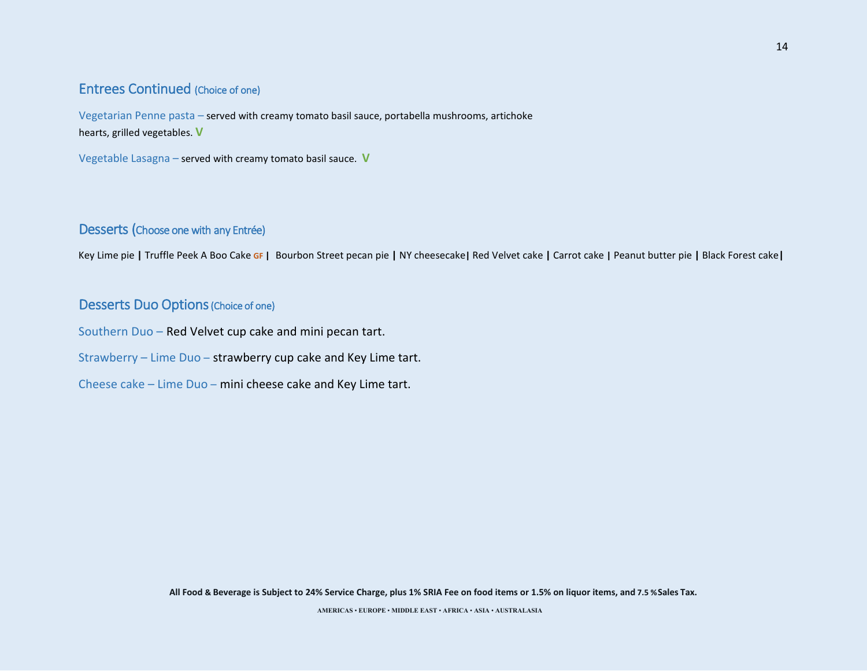### Entrees Continued (Choice of one)

Vegetarian Penne pasta – served with creamy tomato basil sauce, portabella mushrooms, artichoke hearts, grilled vegetables. **V** 

Vegetable Lasagna – served with creamy tomato basil sauce. **V** 

### Desserts (Choose one with any Entrée)

Key Lime pie **|** Truffle Peek A Boo Cake **GF |** Bourbon Street pecan pie **|** NY cheesecake**|** Red Velvet cake **|** Carrot cake **|** Peanut butter pie **|** Black Forest cake**|** 

### Desserts Duo Options (Choice of one)

Southern Duo – Red Velvet cup cake and mini pecan tart.

Strawberry – Lime Duo – strawberry cup cake and Key Lime tart.

Cheese cake – Lime Duo – mini cheese cake and Key Lime tart.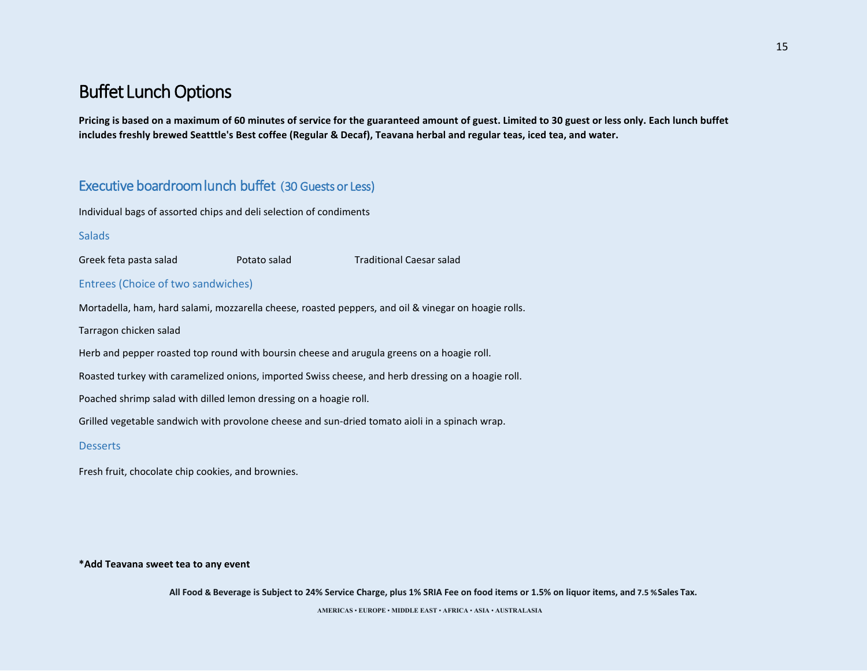**Pricing is based on a maximum of 60 minutes of service for the guaranteed amount of guest. Limited to 30 guest or less only. Each lunch buffet includes freshly brewed Seatttle's Best coffee (Regular & Decaf), Teavana herbal and regular teas, iced tea, and water.** 

## Executive boardroom lunch buffet **(**30 Guests or Less)

Individual bags of assorted chips and deli selection of condiments

#### **Salads**

Greek feta pasta salad  $\overline{P}$ Potato salad Traditional Caesar salad

#### Entrees (Choice of two sandwiches)

Mortadella, ham, hard salami, mozzarella cheese, roasted peppers, and oil & vinegar on hoagie rolls.

Tarragon chicken salad

Herb and pepper roasted top round with boursin cheese and arugula greens on a hoagie roll.

Roasted turkey with caramelized onions, imported Swiss cheese, and herb dressing on a hoagie roll.

Poached shrimp salad with dilled lemon dressing on a hoagie roll.

Grilled vegetable sandwich with provolone cheese and sun-dried tomato aioli in a spinach wrap.

#### **Desserts**

Fresh fruit, chocolate chip cookies, and brownies.

#### **\*Add Teavana sweet tea to any event**

**All Food & Beverage is Subject to 24% Service Charge, plus 1% SRIA Fee on food items or 1.5% on liquor items, and 7.5 %Sales Tax.**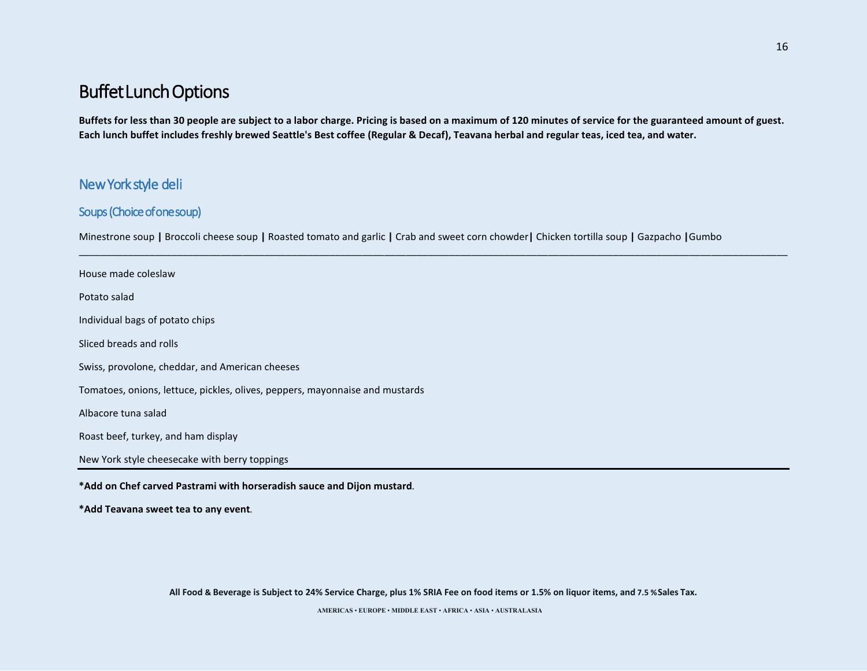**Buffets for less than 30 people are subject to a labor charge. Pricing is based on a maximum of 120 minutes of service for the guaranteed amount of guest. Each lunch buffet includes freshly brewed Seattle's Best coffee (Regular & Decaf), Teavana herbal and regular teas, iced tea, and water.** 

\_\_\_\_\_\_\_\_\_\_\_\_\_\_\_\_\_\_\_\_\_\_\_\_\_\_\_\_\_\_\_\_\_\_\_\_\_\_\_\_\_\_\_\_\_\_\_\_\_\_\_\_\_\_\_\_\_\_\_\_\_\_\_\_\_\_\_\_\_\_\_\_\_\_\_\_\_\_\_\_\_\_\_\_\_\_\_\_\_\_\_\_\_\_\_\_\_\_\_\_\_\_\_\_\_\_\_\_\_\_\_\_\_\_\_\_\_\_\_\_\_\_\_\_\_\_\_\_\_\_

### New York style deli

### Soups (Choice of one soup)

Minestrone soup **|** Broccoli cheese soup **|** Roasted tomato and garlic **|** Crab and sweet corn chowder**|** Chicken tortilla soup **|** Gazpacho **|**Gumbo

House made coleslaw Potato salad Individual bags of potato chips Sliced breads and rolls Swiss, provolone, cheddar, and American cheeses Tomatoes, onions, lettuce, pickles, olives, peppers, mayonnaise and mustards Albacore tuna salad Roast beef, turkey, and ham display New York style cheesecake with berry toppings **\*Add on Chef carved Pastrami with horseradish sauce and Dijon mustard.**

**\*Add Teavana sweet tea to any event.**

**All Food & Beverage is Subject to 24% Service Charge, plus 1% SRIA Fee on food items or 1.5% on liquor items, and 7.5 %Sales Tax.**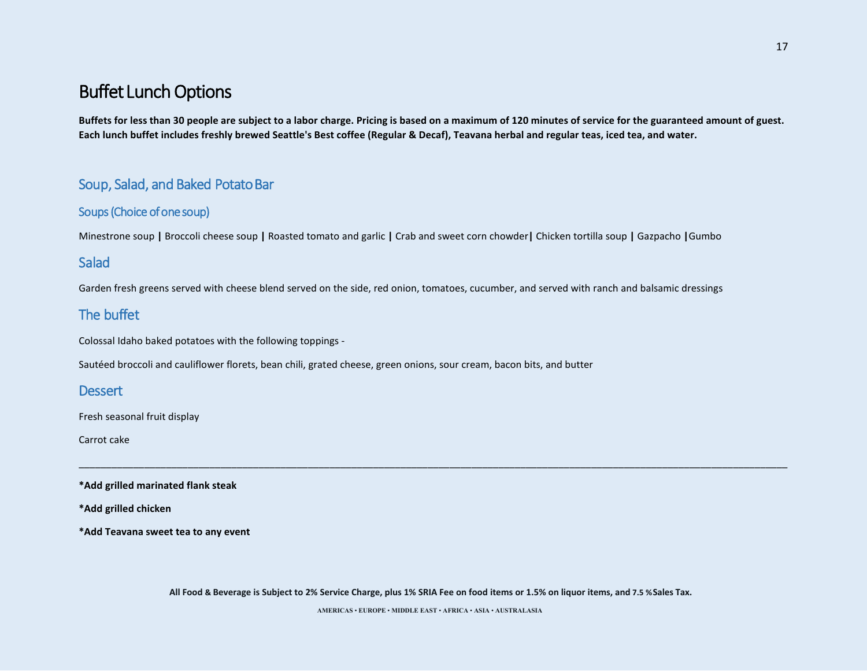**Buffets for less than 30 people are subject to a labor charge. Pricing is based on a maximum of 120 minutes of service for the guaranteed amount of guest. Each lunch buffet includes freshly brewed Seattle's Best coffee (Regular & Decaf), Teavana herbal and regular teas, iced tea, and water.** 

## Soup, Salad, and Baked Potato Bar

### Soups (Choice of one soup)

Minestrone soup **|** Broccoli cheese soup **|** Roasted tomato and garlic **|** Crab and sweet corn chowder**|** Chicken tortilla soup **|** Gazpacho **|**Gumbo

## **Salad**

Garden fresh greens served with cheese blend served on the side, red onion, tomatoes, cucumber, and served with ranch and balsamic dressings

## The buffet

Colossal Idaho baked potatoes with the following toppings -

Sautéed broccoli and cauliflower florets, bean chili, grated cheese, green onions, sour cream, bacon bits, and butter

### **Dessert**

Fresh seasonal fruit display

Carrot cake

**\*Add grilled marinated flank steak**

**\*Add grilled chicken**

**\*Add Teavana sweet tea to any event**

**All Food & Beverage is Subject to 2% Service Charge, plus 1% SRIA Fee on food items or 1.5% on liquor items, and 7.5 %Sales Tax.** 

\_\_\_\_\_\_\_\_\_\_\_\_\_\_\_\_\_\_\_\_\_\_\_\_\_\_\_\_\_\_\_\_\_\_\_\_\_\_\_\_\_\_\_\_\_\_\_\_\_\_\_\_\_\_\_\_\_\_\_\_\_\_\_\_\_\_\_\_\_\_\_\_\_\_\_\_\_\_\_\_\_\_\_\_\_\_\_\_\_\_\_\_\_\_\_\_\_\_\_\_\_\_\_\_\_\_\_\_\_\_\_\_\_\_\_\_\_\_\_\_\_\_\_\_\_\_\_\_\_\_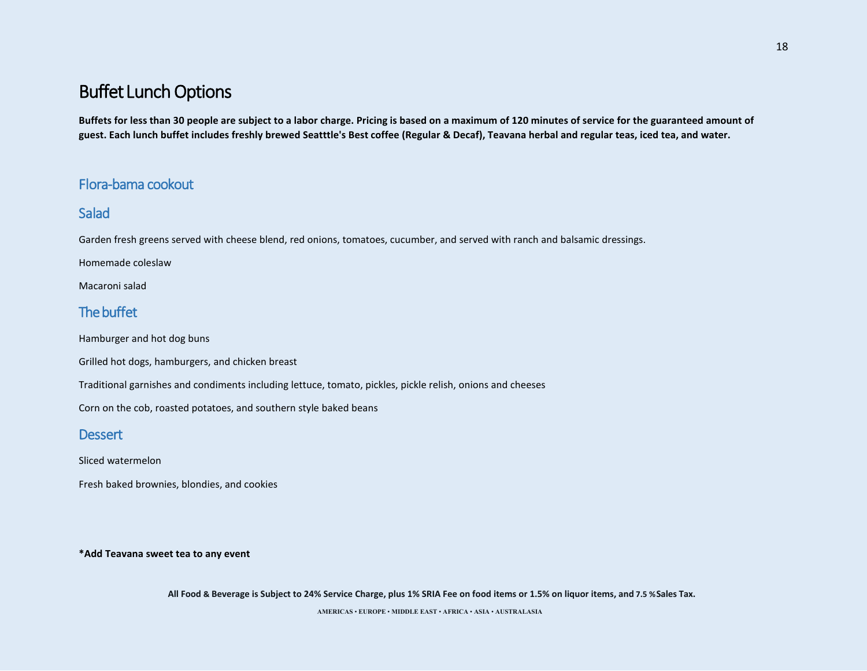**Buffets for less than 30 people are subject to a labor charge. Pricing is based on a maximum of 120 minutes of service for the guaranteed amount of guest. Each lunch buffet includes freshly brewed Seatttle's Best coffee (Regular & Decaf), Teavana herbal and regular teas, iced tea, and water.** 

## Flora-bama cookout

## Salad

Garden fresh greens served with cheese blend, red onions, tomatoes, cucumber, and served with ranch and balsamic dressings.

Homemade coleslaw

Macaroni salad

## The buffet

Hamburger and hot dog buns

Grilled hot dogs, hamburgers, and chicken breast

Traditional garnishes and condiments including lettuce, tomato, pickles, pickle relish, onions and cheeses

Corn on the cob, roasted potatoes, and southern style baked beans

### **Dessert**

Sliced watermelon

Fresh baked brownies, blondies, and cookies

**\*Add Teavana sweet tea to any event**

**All Food & Beverage is Subject to 24% Service Charge, plus 1% SRIA Fee on food items or 1.5% on liquor items, and 7.5 %Sales Tax.**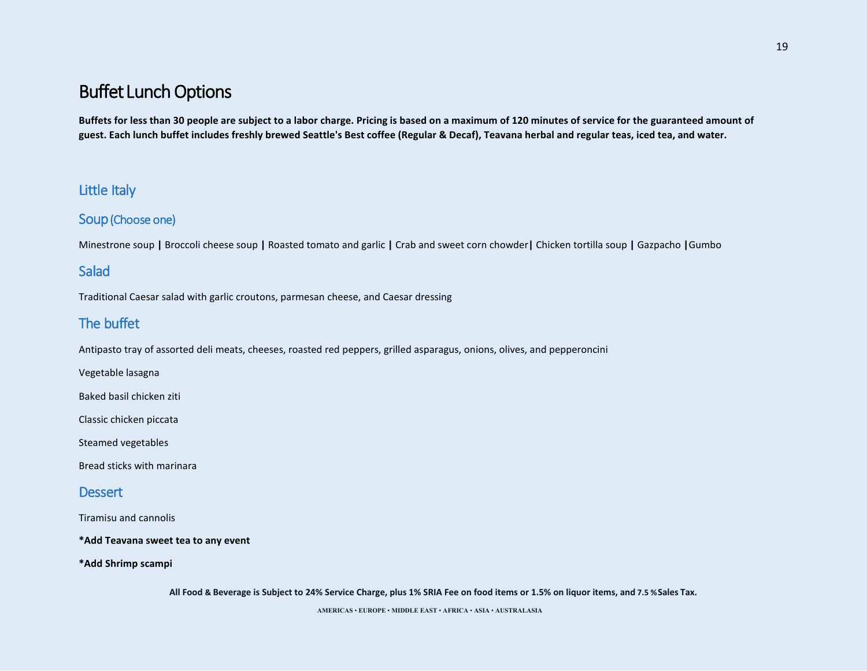**Buffets for less than 30 people are subject to a labor charge. Pricing is based on a maximum of 120 minutes of service for the guaranteed amount of guest. Each lunch buffet includes freshly brewed Seattle's Best coffee (Regular & Decaf), Teavana herbal and regular teas, iced tea, and water.** 

## Little Italy

### Soup (Choose one)

Minestrone soup **|** Broccoli cheese soup **|** Roasted tomato and garlic **|** Crab and sweet corn chowder**|** Chicken tortilla soup **|** Gazpacho **|**Gumbo

## **Salad**

Traditional Caesar salad with garlic croutons, parmesan cheese, and Caesar dressing

## The buffet

Antipasto tray of assorted deli meats, cheeses, roasted red peppers, grilled asparagus, onions, olives, and pepperoncini

Vegetable lasagna

Baked basil chicken ziti

Classic chicken piccata

Steamed vegetables

Bread sticks with marinara

### **Dessert**

Tiramisu and cannolis

**\*Add Teavana sweet tea to any event** 

**\*Add Shrimp scampi**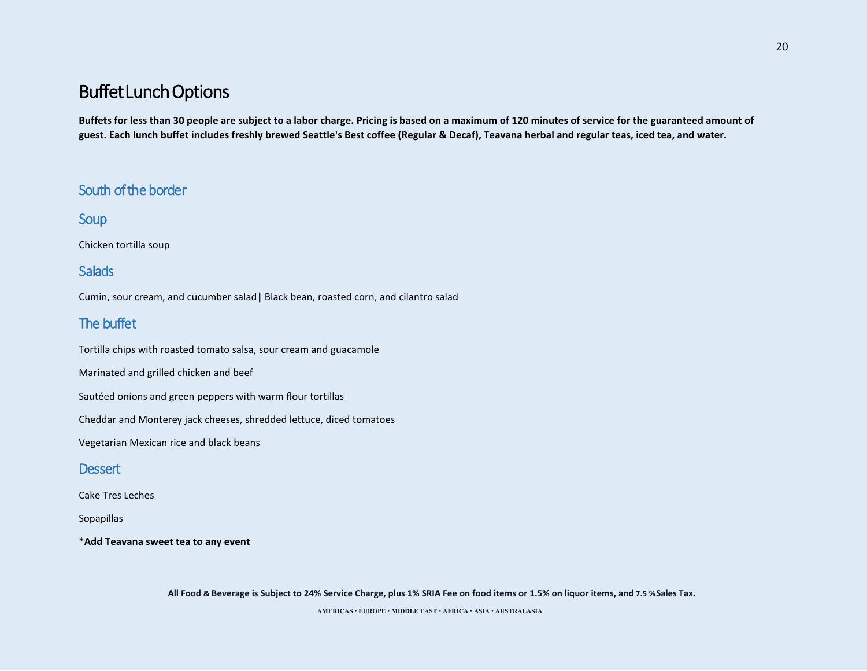**Buffets for less than 30 people are subject to a labor charge. Pricing is based on a maximum of 120 minutes of service for the guaranteed amount of guest. Each lunch buffet includes freshly brewed Seattle's Best coffee (Regular & Decaf), Teavana herbal and regular teas, iced tea, and water.** 

## South of the border

Soup

Chicken tortilla soup

### **Salads**

Cumin, sour cream, and cucumber salad**|** Black bean, roasted corn, and cilantro salad

## The buffet

Tortilla chips with roasted tomato salsa, sour cream and guacamole

Marinated and grilled chicken and beef

Sautéed onions and green peppers with warm flour tortillas

Cheddar and Monterey jack cheeses, shredded lettuce, diced tomatoes

Vegetarian Mexican rice and black beans

#### **Dessert**

Cake Tres Leches

Sopapillas

**\*Add Teavana sweet tea to any event**

**All Food & Beverage is Subject to 24% Service Charge, plus 1% SRIA Fee on food items or 1.5% on liquor items, and 7.5 %Sales Tax.**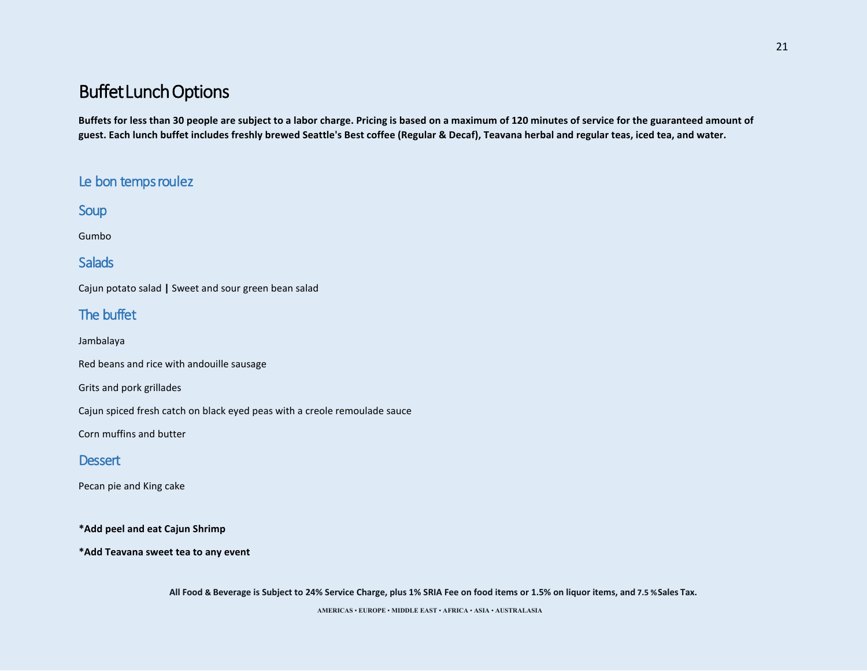**Buffets for less than 30 people are subject to a labor charge. Pricing is based on a maximum of 120 minutes of service for the guaranteed amount of guest. Each lunch buffet includes freshly brewed Seattle's Best coffee (Regular & Decaf), Teavana herbal and regular teas, iced tea, and water.** 

## Le bon temps roulez

**Soup** 

Gumbo

## **Salads**

Cajun potato salad **|** Sweet and sour green bean salad

## The buffet

Jambalaya

Red beans and rice with andouille sausage

Grits and pork grillades

Cajun spiced fresh catch on black eyed peas with a creole remoulade sauce

Corn muffins and butter

### **Dessert**

Pecan pie and King cake

**\*Add peel and eat Cajun Shrimp**

**\*Add Teavana sweet tea to any event**

**All Food & Beverage is Subject to 24% Service Charge, plus 1% SRIA Fee on food items or 1.5% on liquor items, and 7.5 %Sales Tax.**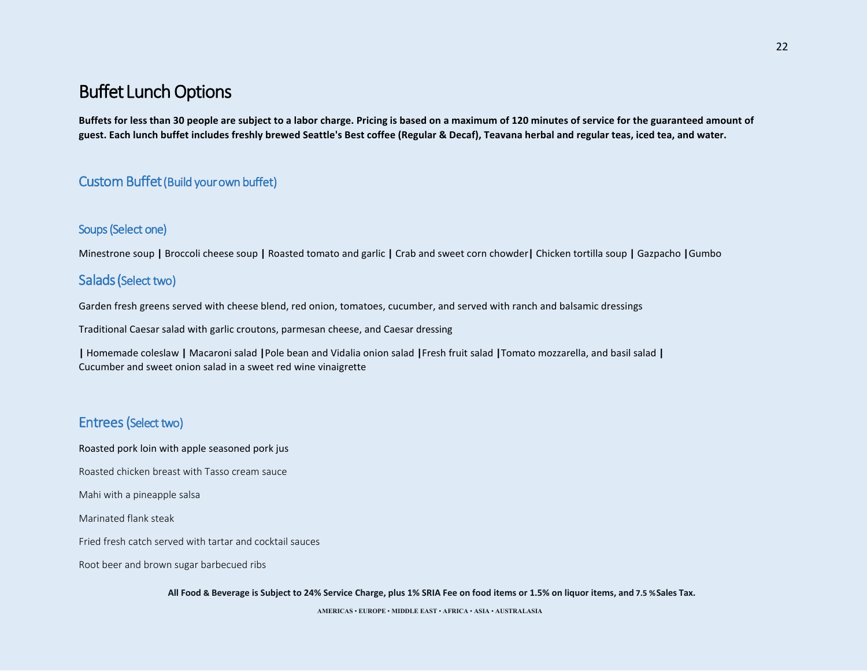**Buffets for less than 30 people are subject to a labor charge. Pricing is based on a maximum of 120 minutes of service for the guaranteed amount of guest. Each lunch buffet includes freshly brewed Seattle's Best coffee (Regular & Decaf), Teavana herbal and regular teas, iced tea, and water.** 

### Custom Buffet (Build your own buffet)

#### Soups (Select one)

Minestrone soup **|** Broccoli cheese soup **|** Roasted tomato and garlic **|** Crab and sweet corn chowder**|** Chicken tortilla soup **|** Gazpacho **|**Gumbo

### Salads (Select two)

Garden fresh greens served with cheese blend, red onion, tomatoes, cucumber, and served with ranch and balsamic dressings

Traditional Caesar salad with garlic croutons, parmesan cheese, and Caesar dressing

**|** Homemade coleslaw **|** Macaroni salad **|**Pole bean and Vidalia onion salad **|**Fresh fruit salad **|**Tomato mozzarella, and basil salad **|**  Cucumber and sweet onion salad in a sweet red wine vinaigrette

## Entrees (Select two)

Roasted pork loin with apple seasoned pork jus

Roasted chicken breast with Tasso cream sauce

Mahi with a pineapple salsa

Marinated flank steak

Fried fresh catch served with tartar and cocktail sauces

Root beer and brown sugar barbecued ribs

**All Food & Beverage is Subject to 24% Service Charge, plus 1% SRIA Fee on food items or 1.5% on liquor items, and 7.5 %Sales Tax.**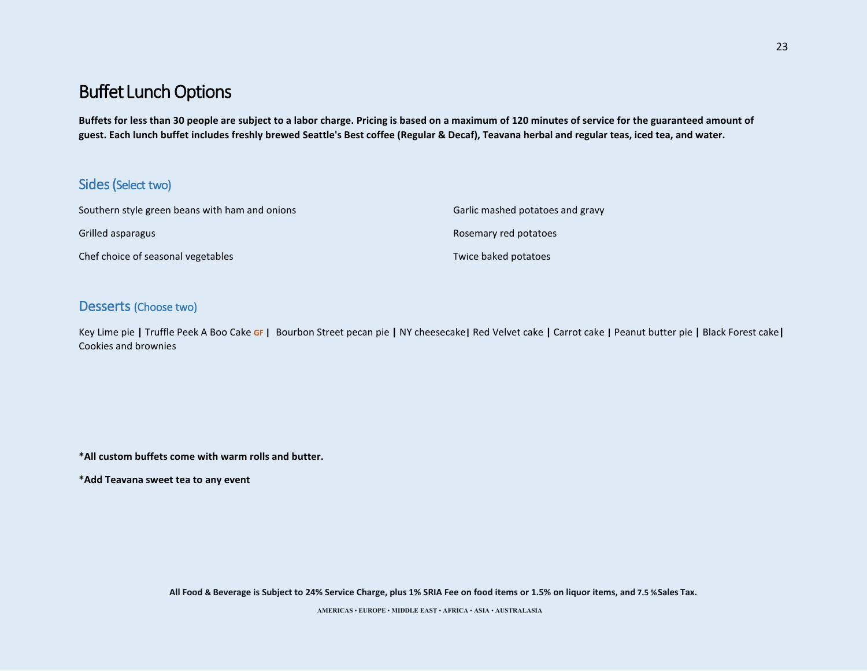**Buffets for less than 30 people are subject to a labor charge. Pricing is based on a maximum of 120 minutes of service for the guaranteed amount of guest. Each lunch buffet includes freshly brewed Seattle's Best coffee (Regular & Decaf), Teavana herbal and regular teas, iced tea, and water.** 

### Sides (Select two)

| Southern style green beans with ham and onions | Garlic mashed potatoes and gravy |
|------------------------------------------------|----------------------------------|
| Grilled asparagus                              | Rosemary red potatoes            |
| Chef choice of seasonal vegetables             | Twice baked potatoes             |

### Desserts (Choose two)

Key Lime pie **|** Truffle Peek A Boo Cake **GF |** Bourbon Street pecan pie **|** NY cheesecake**|** Red Velvet cake **|** Carrot cake **|** Peanut butter pie **|** Black Forest cake**|** Cookies and brownies

**\*All custom buffets come with warm rolls and butter.**

**\*Add Teavana sweet tea to any event**

**All Food & Beverage is Subject to 24% Service Charge, plus 1% SRIA Fee on food items or 1.5% on liquor items, and 7.5 %Sales Tax.**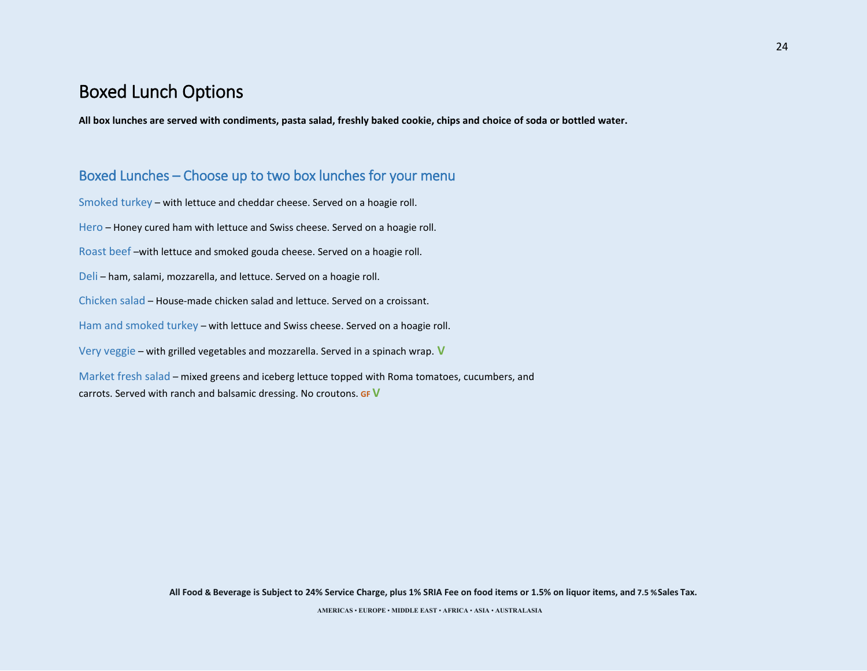## Boxed Lunch Options

**All box lunches are served with condiments, pasta salad, freshly baked cookie, chips and choice of soda or bottled water.**

### Boxed Lunches – Choose up to two box lunches for your menu

Smoked turkey – with lettuce and cheddar cheese. Served on a hoagie roll. Hero – Honey cured ham with lettuce and Swiss cheese. Served on a hoagie roll. Roast beef –with lettuce and smoked gouda cheese. Served on a hoagie roll. Deli – ham, salami, mozzarella, and lettuce. Served on a hoagie roll. Chicken salad – House-made chicken salad and lettuce. Served on a croissant. Ham and smoked turkey – with lettuce and Swiss cheese. Served on a hoagie roll. Very veggie – with grilled vegetables and mozzarella. Served in a spinach wrap. **V** Market fresh salad – mixed greens and iceberg lettuce topped with Roma tomatoes, cucumbers, and

carrots. Served with ranch and balsamic dressing. No croutons. **GF V** 

**All Food & Beverage is Subject to 24% Service Charge, plus 1% SRIA Fee on food items or 1.5% on liquor items, and 7.5 %Sales Tax.**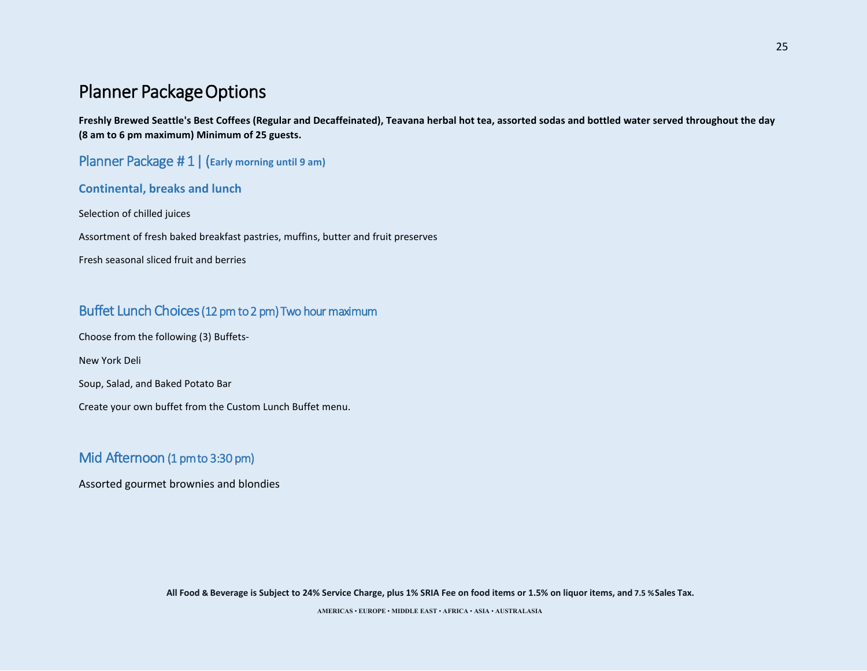## Planner Package Options

**Freshly Brewed Seattle's Best Coffees (Regular and Decaffeinated), Teavana herbal hot tea, assorted sodas and bottled water served throughout the day (8 am to 6 pm maximum) Minimum of 25 guests.** 

Planner Package # 1 | (**Early morning until 9 am)**

**Continental, breaks and lunch**

Selection of chilled juices

Assortment of fresh baked breakfast pastries, muffins, butter and fruit preserves

Fresh seasonal sliced fruit and berries

## Buffet Lunch Choices (12 pm to 2 pm) Two hour maximum

Choose from the following (3) Buffets-

New York Deli

Soup, Salad, and Baked Potato Bar

Create your own buffet from the Custom Lunch Buffet menu.

## Mid Afternoon (1 pm to 3:30 pm)

Assorted gourmet brownies and blondies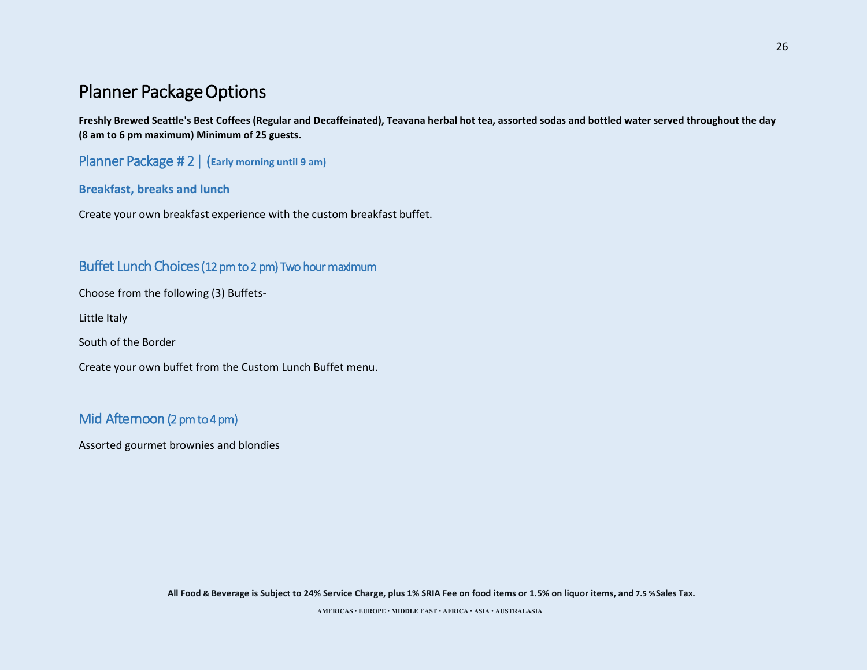## Planner Package Options

**Freshly Brewed Seattle's Best Coffees (Regular and Decaffeinated), Teavana herbal hot tea, assorted sodas and bottled water served throughout the day (8 am to 6 pm maximum) Minimum of 25 guests.** 

Planner Package # 2 | (**Early morning until 9 am)**

#### **Breakfast, breaks and lunch**

Create your own breakfast experience with the custom breakfast buffet.

### Buffet Lunch Choices (12 pm to 2 pm) Two hour maximum

Choose from the following (3) Buffets-

Little Italy

South of the Border

Create your own buffet from the Custom Lunch Buffet menu.

## Mid Afternoon (2 pm to 4 pm)

Assorted gourmet brownies and blondies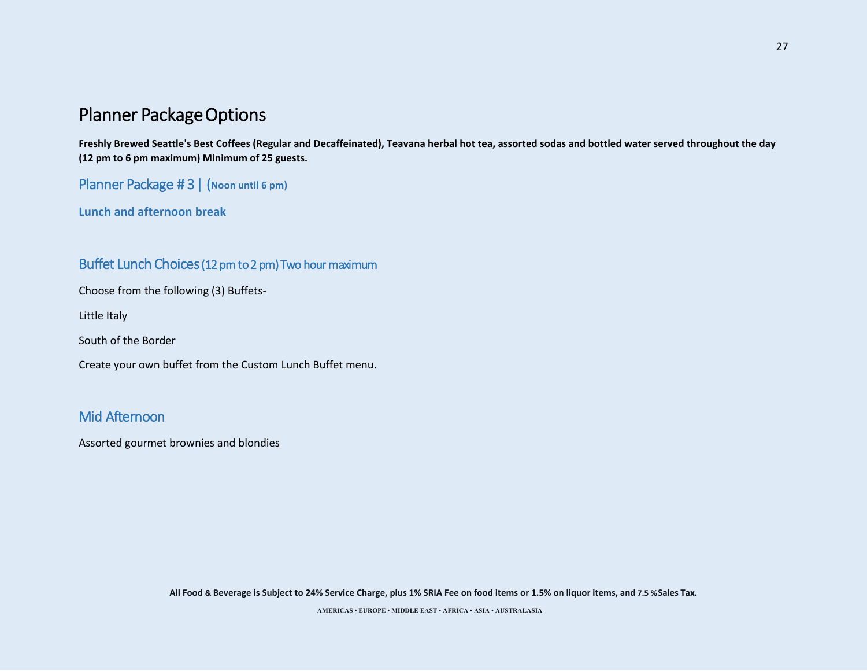## Planner Package Options

**Freshly Brewed Seattle's Best Coffees (Regular and Decaffeinated), Teavana herbal hot tea, assorted sodas and bottled water served throughout the day (12 pm to 6 pm maximum) Minimum of 25 guests.** 

Planner Package # 3 | (**Noon until 6 pm)**

**Lunch and afternoon break**

### Buffet Lunch Choices (12 pm to 2 pm) Two hour maximum

Choose from the following (3) Buffets-

Little Italy

South of the Border

Create your own buffet from the Custom Lunch Buffet menu.

## Mid Afternoon

Assorted gourmet brownies and blondies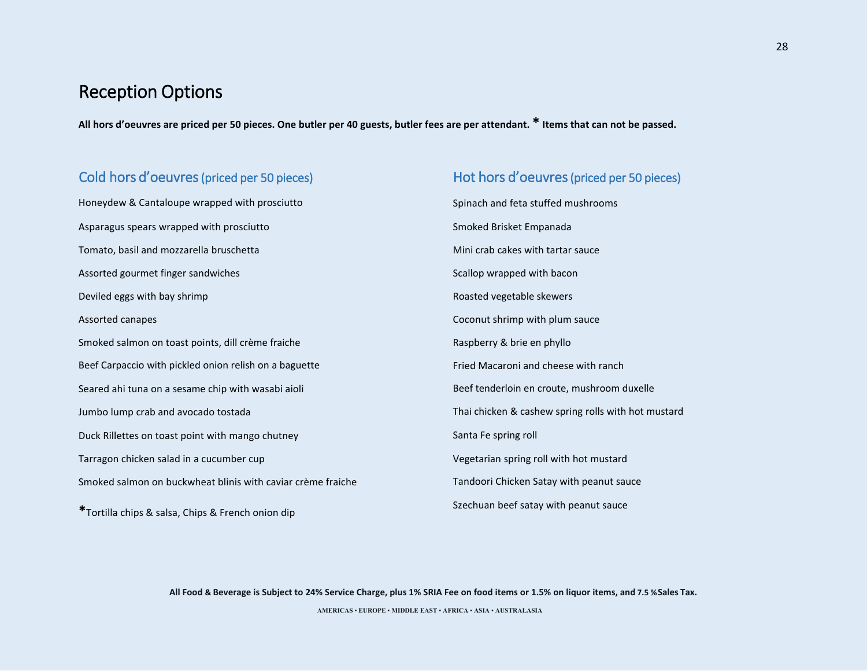## Reception Options

**All hors d'oeuvres are priced per 50 pieces. One butler per 40 guests, butler fees are per attendant. \* Items that can not be passed.**

### Cold hors d'oeuvres (priced per 50 pieces)

Honeydew & Cantaloupe wrapped with prosciutto Asparagus spears wrapped with prosciutto Tomato, basil and mozzarella bruschetta Assorted gourmet finger sandwiches Deviled eggs with bay shrimp Assorted canapes Smoked salmon on toast points, dill crème fraiche Beef Carpaccio with pickled onion relish on a baguette Seared ahi tuna on a sesame chip with wasabi aioli Jumbo lump crab and avocado tostada Duck Rillettes on toast point with mango chutney Tarragon chicken salad in a cucumber cup Smoked salmon on buckwheat blinis with caviar crème fraiche **\***Tortilla chips & salsa, Chips & French onion dip

# Hot hors d'oeuvres (priced per 50 pieces) Spinach and feta stuffed mushrooms Smoked Brisket Empanada Mini crab cakes with tartar sauce Scallop wrapped with bacon Roasted vegetable skewers Coconut shrimp with plum sauce Raspberry & brie en phyllo Fried Macaroni and cheese with ranch Beef tenderloin en croute, mushroom duxelle Thai chicken & cashew spring rolls with hot mustard Santa Fe spring roll Vegetarian spring roll with hot mustard Tandoori Chicken Satay with peanut sauce Szechuan beef satay with peanut sauce

**All Food & Beverage is Subject to 24% Service Charge, plus 1% SRIA Fee on food items or 1.5% on liquor items, and 7.5 %Sales Tax.**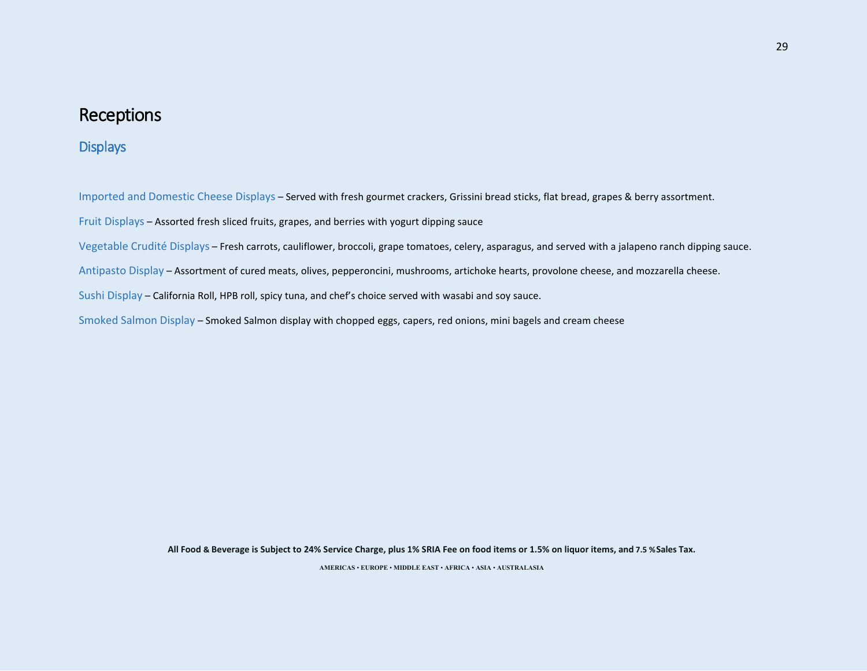## **Displays**

Imported and Domestic Cheese Displays – Served with fresh gourmet crackers, Grissini bread sticks, flat bread, grapes & berry assortment.

Fruit Displays – Assorted fresh sliced fruits, grapes, and berries with yogurt dipping sauce

Vegetable Crudité Displays – Fresh carrots, cauliflower, broccoli, grape tomatoes, celery, asparagus, and served with a jalapeno ranch dipping sauce.

Antipasto Display – Assortment of cured meats, olives, pepperoncini, mushrooms, artichoke hearts, provolone cheese, and mozzarella cheese.

Sushi Display – California Roll, HPB roll, spicy tuna, and chef's choice served with wasabi and soy sauce.

Smoked Salmon Display – Smoked Salmon display with chopped eggs, capers, red onions, mini bagels and cream cheese

**All Food & Beverage is Subject to 24% Service Charge, plus 1% SRIA Fee on food items or 1.5% on liquor items, and 7.5 %Sales Tax.**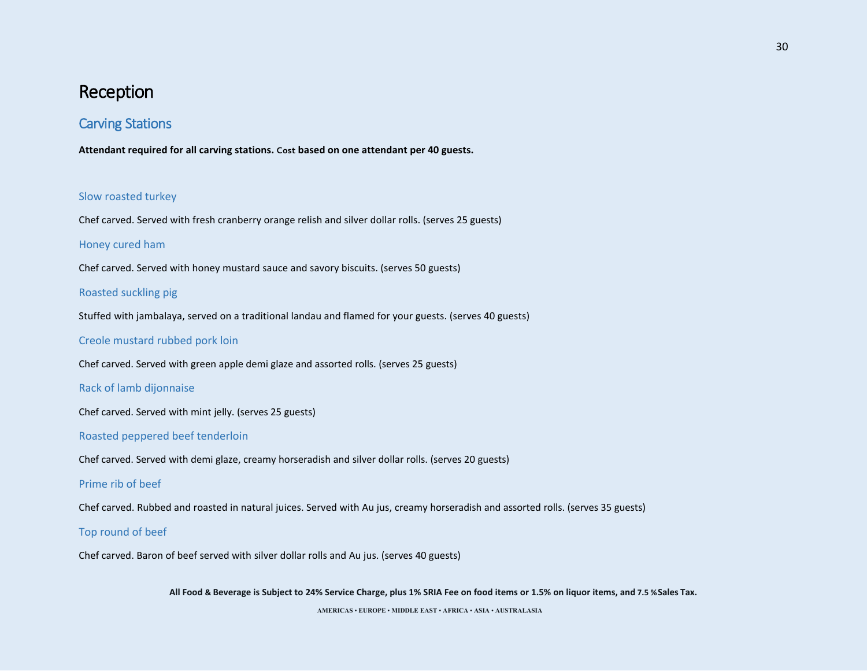## Carving Stations

**Attendant required for all carving stations. Cost based on one attendant per 40 guests.** 

#### Slow roasted turkey

Chef carved. Served with fresh cranberry orange relish and silver dollar rolls. (serves 25 guests)

#### Honey cured ham

Chef carved. Served with honey mustard sauce and savory biscuits. (serves 50 guests)

#### Roasted suckling pig

Stuffed with jambalaya, served on a traditional landau and flamed for your guests. (serves 40 guests)

#### Creole mustard rubbed pork loin

Chef carved. Served with green apple demi glaze and assorted rolls. (serves 25 guests)

#### Rack of lamb dijonnaise

Chef carved. Served with mint jelly. (serves 25 guests)

#### Roasted peppered beef tenderloin

Chef carved. Served with demi glaze, creamy horseradish and silver dollar rolls. (serves 20 guests)

#### Prime rib of beef

Chef carved. Rubbed and roasted in natural juices. Served with Au jus, creamy horseradish and assorted rolls. (serves 35 guests)

#### Top round of beef

Chef carved. Baron of beef served with silver dollar rolls and Au jus. (serves 40 guests)

**All Food & Beverage is Subject to 24% Service Charge, plus 1% SRIA Fee on food items or 1.5% on liquor items, and 7.5 %Sales Tax.**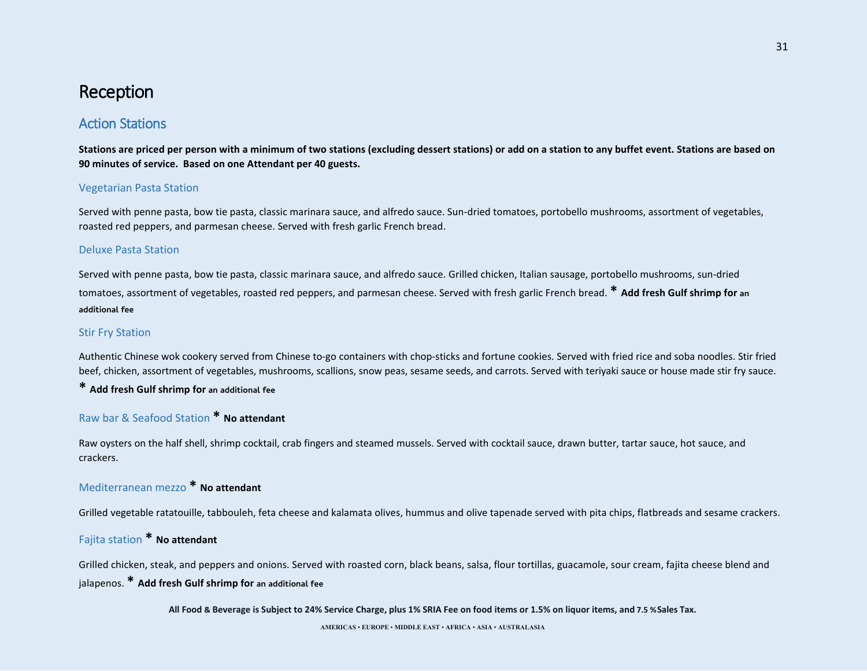## Action Stations

**Stations are priced per person with a minimum of two stations (excluding dessert stations) or add on a station to any buffet event. Stations are based on 90 minutes of service. Based on one Attendant per 40 guests.** 

#### Vegetarian Pasta Station

Served with penne pasta, bow tie pasta, classic marinara sauce, and alfredo sauce. Sun-dried tomatoes, portobello mushrooms, assortment of vegetables, roasted red peppers, and parmesan cheese. Served with fresh garlic French bread.

#### Deluxe Pasta Station

Served with penne pasta, bow tie pasta, classic marinara sauce, and alfredo sauce. Grilled chicken, Italian sausage, portobello mushrooms, sun-dried tomatoes, assortment of vegetables, roasted red peppers, and parmesan cheese. Served with fresh garlic French bread. **\* Add fresh Gulf shrimp for an additional fee**

#### Stir Fry Station

Authentic Chinese wok cookery served from Chinese to-go containers with chop-sticks and fortune cookies. Served with fried rice and soba noodles. Stir fried beef, chicken, assortment of vegetables, mushrooms, scallions, snow peas, sesame seeds, and carrots. Served with teriyaki sauce or house made stir fry sauce.

### **\* Add fresh Gulf shrimp for an additional fee**

### Raw bar & Seafood Station **\* No attendant**

Raw oysters on the half shell, shrimp cocktail, crab fingers and steamed mussels. Served with cocktail sauce, drawn butter, tartar sauce, hot sauce, and crackers.

### Mediterranean mezzo **\* No attendant**

Grilled vegetable ratatouille, tabbouleh, feta cheese and kalamata olives, hummus and olive tapenade served with pita chips, flatbreads and sesame crackers.

### Fajita station **\* No attendant**

Grilled chicken, steak, and peppers and onions. Served with roasted corn, black beans, salsa, flour tortillas, guacamole, sour cream, fajita cheese blend and jalapenos. **\* Add fresh Gulf shrimp for an additional fee**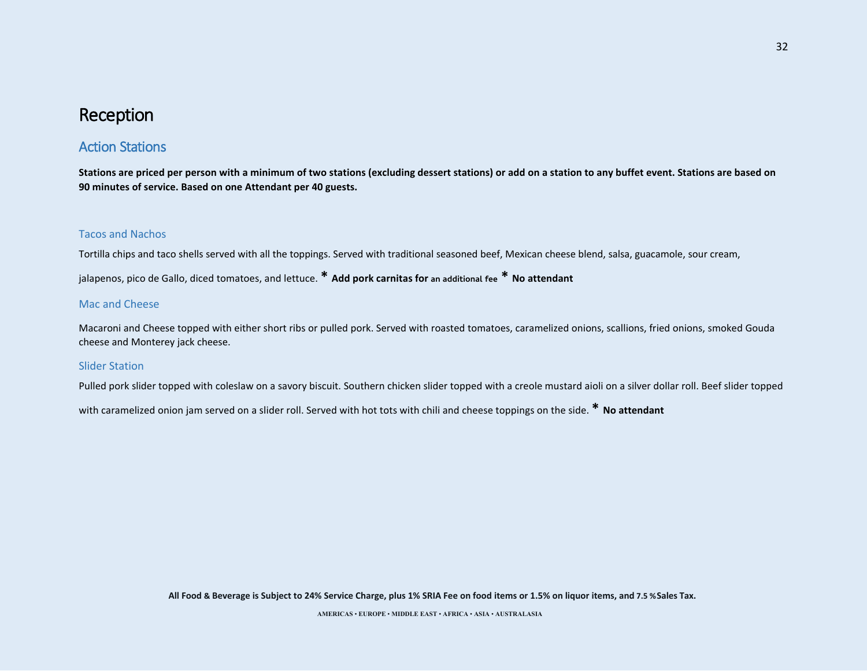## Action Stations

**Stations are priced per person with a minimum of two stations (excluding dessert stations) or add on a station to any buffet event. Stations are based on 90 minutes of service. Based on one Attendant per 40 guests.** 

#### Tacos and Nachos

Tortilla chips and taco shells served with all the toppings. Served with traditional seasoned beef, Mexican cheese blend, salsa, guacamole, sour cream,

jalapenos, pico de Gallo, diced tomatoes, and lettuce. **\* Add pork carnitas for an additional fee \* No attendant**

#### Mac and Cheese

Macaroni and Cheese topped with either short ribs or pulled pork. Served with roasted tomatoes, caramelized onions, scallions, fried onions, smoked Gouda cheese and Monterey jack cheese.

#### Slider Station

Pulled pork slider topped with coleslaw on a savory biscuit. Southern chicken slider topped with a creole mustard aioli on a silver dollar roll. Beef slider topped

with caramelized onion jam served on a slider roll. Served with hot tots with chili and cheese toppings on the side. **\* No attendant**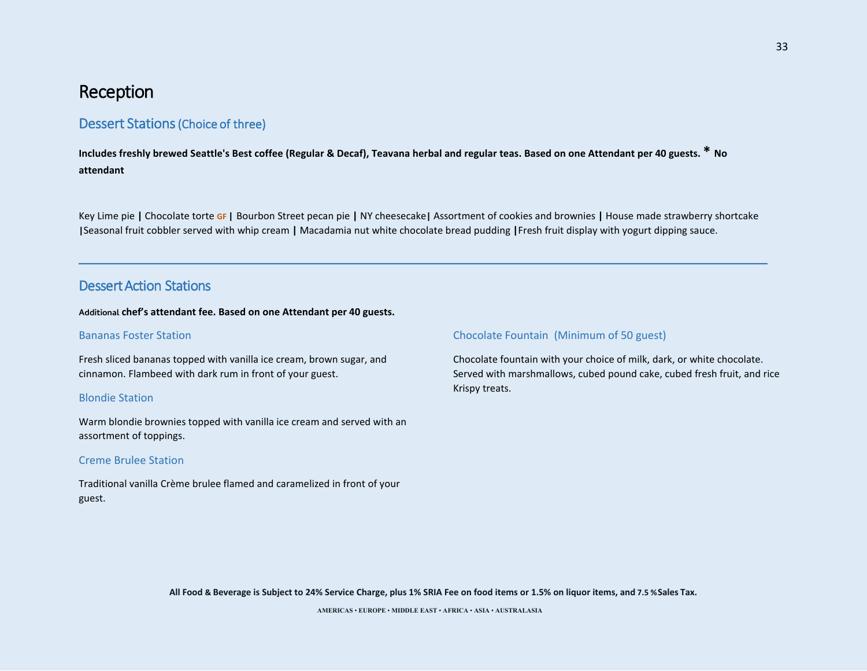### Dessert Stations (Choice of three)

**Includes freshly brewed Seattle's Best coffee (Regular & Decaf), Teavana herbal and regular teas. Based on one Attendant per 40 guests. \* No attendant**

Key Lime pie **|** Chocolate torte **GF |** Bourbon Street pecan pie **|** NY cheesecake**|** Assortment of cookies and brownies **|** House made strawberry shortcake **|**Seasonal fruit cobbler served with whip cream **|** Macadamia nut white chocolate bread pudding **|**Fresh fruit display with yogurt dipping sauce.

 $\_$  ,  $\_$  ,  $\_$  ,  $\_$  ,  $\_$  ,  $\_$  ,  $\_$  ,  $\_$  ,  $\_$  ,  $\_$  ,  $\_$  ,  $\_$  ,  $\_$  ,  $\_$  ,  $\_$  ,  $\_$  ,  $\_$  ,  $\_$  ,  $\_$  ,  $\_$  ,  $\_$  ,  $\_$  ,  $\_$  ,  $\_$  ,  $\_$  ,  $\_$  ,  $\_$  ,  $\_$  ,  $\_$  ,  $\_$  ,  $\_$  ,  $\_$  ,  $\_$  ,  $\_$  ,  $\_$  ,  $\_$  ,  $\_$  ,

### Dessert Action Stations

#### **Additional chef's attendant fee. Based on one Attendant per 40 guests.**

#### Bananas Foster Station

Fresh sliced bananas topped with vanilla ice cream, brown sugar, and cinnamon. Flambeed with dark rum in front of your guest.

#### Blondie Station

Warm blondie brownies topped with vanilla ice cream and served with an assortment of toppings.

#### Creme Brulee Station

Traditional vanilla Crème brulee flamed and caramelized in front of your guest.

#### Chocolate Fountain (Minimum of 50 guest)

Chocolate fountain with your choice of milk, dark, or white chocolate. Served with marshmallows, cubed pound cake, cubed fresh fruit, and rice Krispy treats.

**All Food & Beverage is Subject to 24% Service Charge, plus 1% SRIA Fee on food items or 1.5% on liquor items, and 7.5 %Sales Tax.**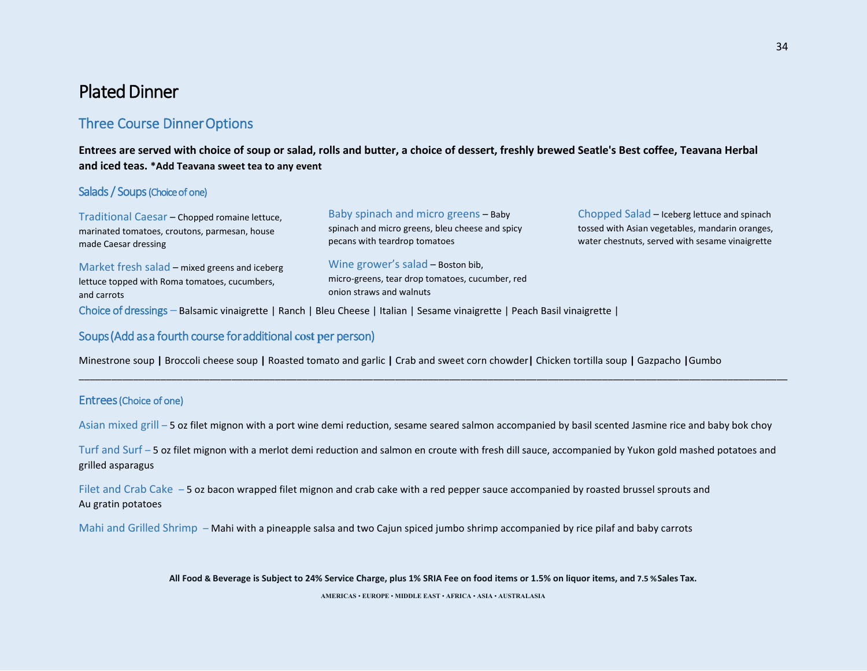## Plated Dinner

## Three Course Dinner Options

### **Entrees are served with choice of soup or salad, rolls and butter, a choice of dessert, freshly brewed Seatle's Best coffee, Teavana Herbal and iced teas. \*Add Teavana sweet tea to any event**

#### Salads / Soups (Choice of one)

| Traditional Caesar - Chopped romaine lettuce,                                                                 | Baby spinach and micro greens - Baby                                                                             | Chopped Salad - Iceberg lettuce and spinach     |
|---------------------------------------------------------------------------------------------------------------|------------------------------------------------------------------------------------------------------------------|-------------------------------------------------|
| marinated tomatoes, croutons, parmesan, house                                                                 | spinach and micro greens, bleu cheese and spicy                                                                  | tossed with Asian vegetables, mandarin oranges, |
| made Caesar dressing                                                                                          | pecans with teardrop tomatoes                                                                                    | water chestnuts, served with sesame vinaigrette |
| Market fresh salad – mixed greens and iceberg<br>lettuce topped with Roma tomatoes, cucumbers,<br>and carrots | Wine grower's salad - Boston bib,<br>micro-greens, tear drop tomatoes, cucumber, red<br>onion straws and walnuts |                                                 |

Choice of dressings – Balsamic vinaigrette | Ranch | Bleu Cheese | Italian | Sesame vinaigrette | Peach Basil vinaigrette |

### Soups (Add as a fourth course for additional **cost p**er person)

Minestrone soup **|** Broccoli cheese soup **|** Roasted tomato and garlic **|** Crab and sweet corn chowder**|** Chicken tortilla soup **|** Gazpacho **|**Gumbo

#### Entrees (Choice of one)

Asian mixed grill – 5 oz filet mignon with a port wine demi reduction, sesame seared salmon accompanied by basil scented Jasmine rice and baby bok choy

\_\_\_\_\_\_\_\_\_\_\_\_\_\_\_\_\_\_\_\_\_\_\_\_\_\_\_\_\_\_\_\_\_\_\_\_\_\_\_\_\_\_\_\_\_\_\_\_\_\_\_\_\_\_\_\_\_\_\_\_\_\_\_\_\_\_\_\_\_\_\_\_\_\_\_\_\_\_\_\_\_\_\_\_\_\_\_\_\_\_\_\_\_\_\_\_\_\_\_\_\_\_\_\_\_\_\_\_\_\_\_\_\_\_\_\_\_\_\_\_\_\_\_\_\_\_\_\_\_\_

Turf and Surf – 5 oz filet mignon with a merlot demi reduction and salmon en croute with fresh dill sauce, accompanied by Yukon gold mashed potatoes and grilled asparagus

Filet and Crab Cake – 5 oz bacon wrapped filet mignon and crab cake with a red pepper sauce accompanied by roasted brussel sprouts and Au gratin potatoes

Mahi and Grilled Shrimp – Mahi with a pineapple salsa and two Cajun spiced jumbo shrimp accompanied by rice pilaf and baby carrots

**All Food & Beverage is Subject to 24% Service Charge, plus 1% SRIA Fee on food items or 1.5% on liquor items, and 7.5 %Sales Tax.**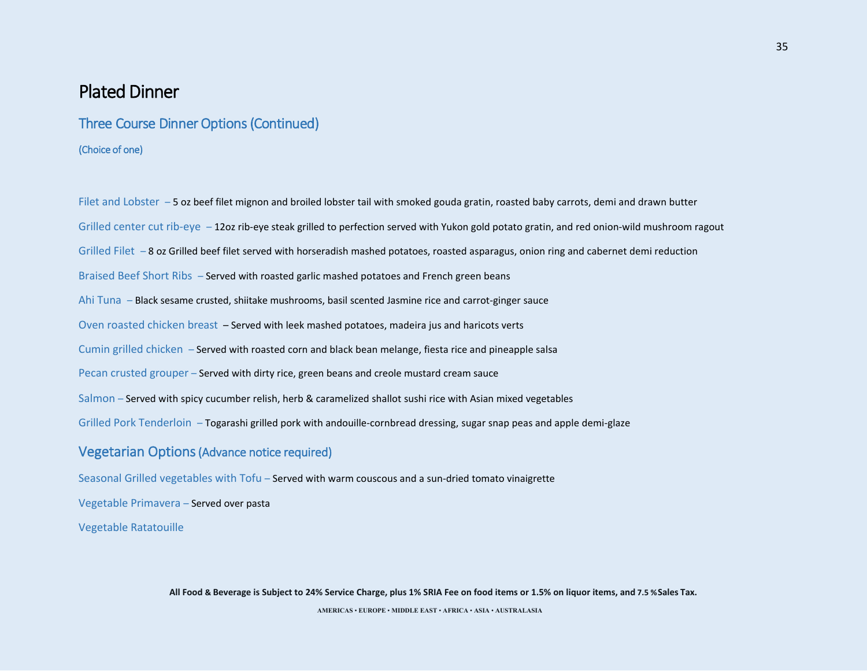## Plated Dinner

### Three Course Dinner Options (Continued)

(Choice of one)

Filet and Lobster – 5 oz beef filet mignon and broiled lobster tail with smoked gouda gratin, roasted baby carrots, demi and drawn butter Grilled center cut rib-eye – 12oz rib-eye steak grilled to perfection served with Yukon gold potato gratin, and red onion-wild mushroom ragout Grilled Filet  $-8$  oz Grilled beef filet served with horseradish mashed potatoes, roasted asparagus, onion ring and cabernet demi reduction Braised Beef Short Ribs – Served with roasted garlic mashed potatoes and French green beans Ahi Tuna – Black sesame crusted, shiitake mushrooms, basil scented Jasmine rice and carrot-ginger sauce Oven roasted chicken breast – Served with leek mashed potatoes, madeira jus and haricots verts Cumin grilled chicken – Served with roasted corn and black bean melange, fiesta rice and pineapple salsa Pecan crusted grouper – Served with dirty rice, green beans and creole mustard cream sauce Salmon – Served with spicy cucumber relish, herb & caramelized shallot sushi rice with Asian mixed vegetables Grilled Pork Tenderloin – Togarashi grilled pork with andouille-cornbread dressing, sugar snap peas and apple demi-glaze

### Vegetarian Options (Advance notice required)

Seasonal Grilled vegetables with Tofu – Served with warm couscous and a sun-dried tomato vinaigrette

Vegetable Primavera – Served over pasta

Vegetable Ratatouille

**All Food & Beverage is Subject to 24% Service Charge, plus 1% SRIA Fee on food items or 1.5% on liquor items, and 7.5 %Sales Tax. AMERICAS** • **EUROPE** • **MIDDLE EAST** • **AFRICA** • **ASIA** • **AUSTRALASIA**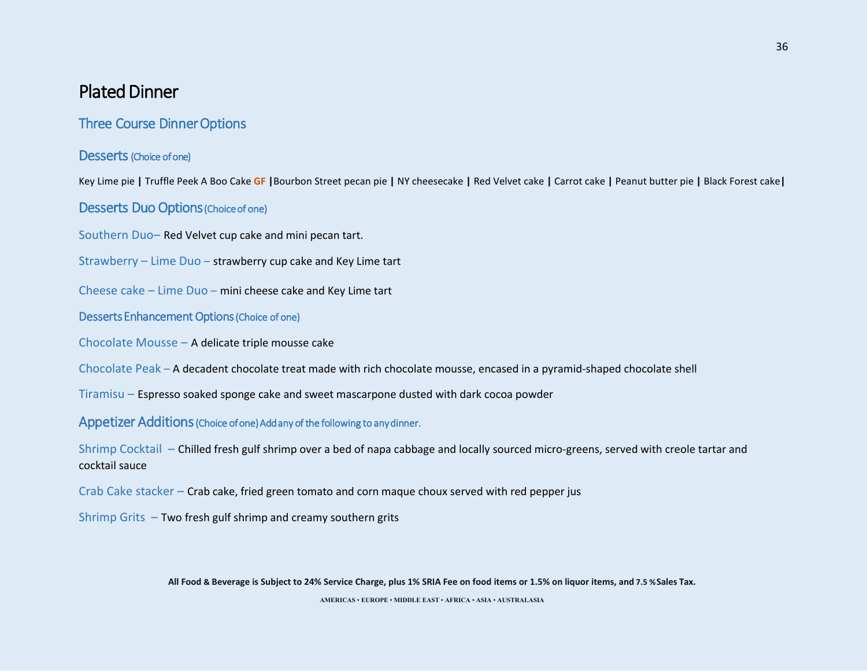## Plated Dinner

## Three Course Dinner Options

### Desserts (Choice of one)

Key Lime pie **|** Truffle Peek A Boo Cake **GF |**Bourbon Street pecan pie **|** NY cheesecake **|** Red Velvet cake **|** Carrot cake **|** Peanut butter pie **|** Black Forest cake**|** 

### Desserts Duo Options (Choice of one)

Southern Duo– Red Velvet cup cake and mini pecan tart.

Strawberry – Lime Duo – strawberry cup cake and Key Lime tart

Cheese cake – Lime Duo – mini cheese cake and Key Lime tart

### Desserts Enhancement Options (Choice of one)

Chocolate Mousse – A delicate triple mousse cake

Chocolate Peak – A decadent chocolate treat made with rich chocolate mousse, encased in a pyramid-shaped chocolate shell

Tiramisu – Espresso soaked sponge cake and sweet mascarpone dusted with dark cocoa powder

Appetizer Additions (Choice of one) Add any of the following to any dinner.

Shrimp Cocktail – Chilled fresh gulf shrimp over a bed of napa cabbage and locally sourced micro-greens, served with creole tartar and cocktail sauce

Crab Cake stacker – Crab cake, fried green tomato and corn maque choux served with red pepper jus

Shrimp Grits – Two fresh gulf shrimp and creamy southern grits

**All Food & Beverage is Subject to 24% Service Charge, plus 1% SRIA Fee on food items or 1.5% on liquor items, and 7.5 %Sales Tax.**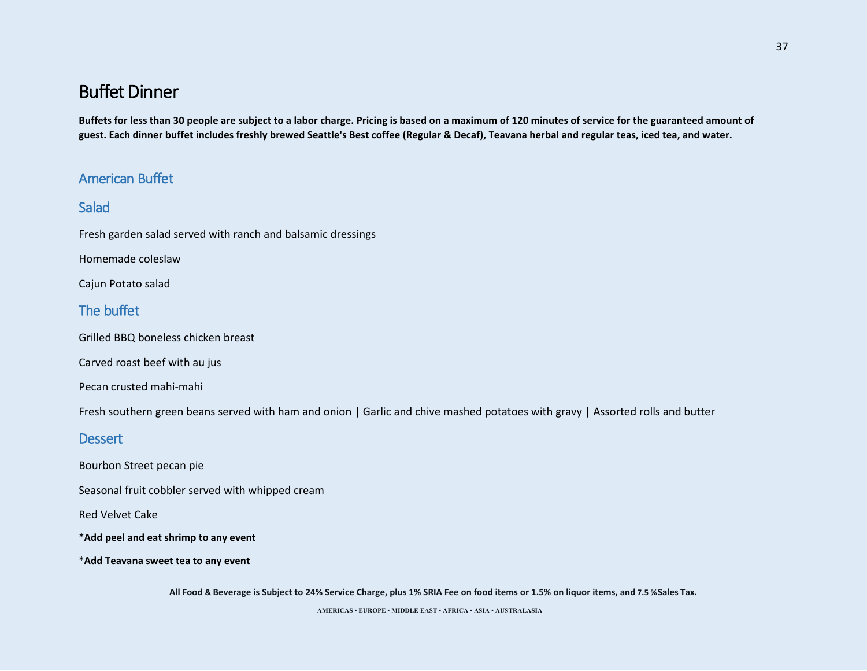**Buffets for less than 30 people are subject to a labor charge. Pricing is based on a maximum of 120 minutes of service for the guaranteed amount of guest. Each dinner buffet includes freshly brewed Seattle's Best coffee (Regular & Decaf), Teavana herbal and regular teas, iced tea, and water.** 

## American Buffet

## **Salad**

Fresh garden salad served with ranch and balsamic dressings

Homemade coleslaw

Cajun Potato salad

## The buffet

Grilled BBQ boneless chicken breast

Carved roast beef with au jus

Pecan crusted mahi-mahi

Fresh southern green beans served with ham and onion **|** Garlic and chive mashed potatoes with gravy **|** Assorted rolls and butter

## **Dessert**

Bourbon Street pecan pie

Seasonal fruit cobbler served with whipped cream

Red Velvet Cake

**\*Add peel and eat shrimp to any event**

**\*Add Teavana sweet tea to any event**

**All Food & Beverage is Subject to 24% Service Charge, plus 1% SRIA Fee on food items or 1.5% on liquor items, and 7.5 %Sales Tax.**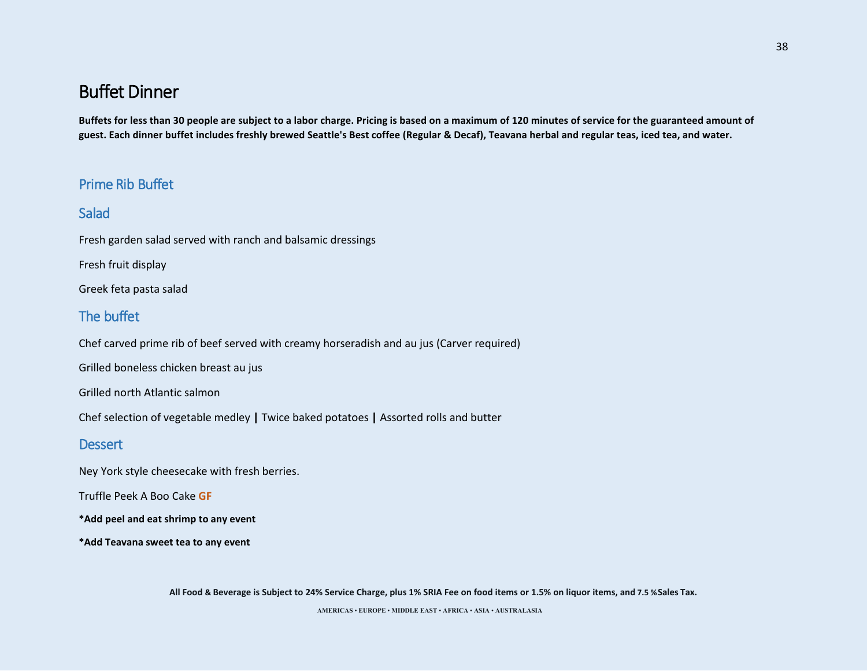**Buffets for less than 30 people are subject to a labor charge. Pricing is based on a maximum of 120 minutes of service for the guaranteed amount of guest. Each dinner buffet includes freshly brewed Seattle's Best coffee (Regular & Decaf), Teavana herbal and regular teas, iced tea, and water.** 

## Prime Rib Buffet

## **Salad**

Fresh garden salad served with ranch and balsamic dressings

Fresh fruit display

Greek feta pasta salad

## The buffet

Chef carved prime rib of beef served with creamy horseradish and au jus (Carver required)

Grilled boneless chicken breast au jus

Grilled north Atlantic salmon

Chef selection of vegetable medley **|** Twice baked potatoes **|** Assorted rolls and butter

### **Dessert**

Ney York style cheesecake with fresh berries.

Truffle Peek A Boo Cake **GF**

**\*Add peel and eat shrimp to any event**

**\*Add Teavana sweet tea to any event**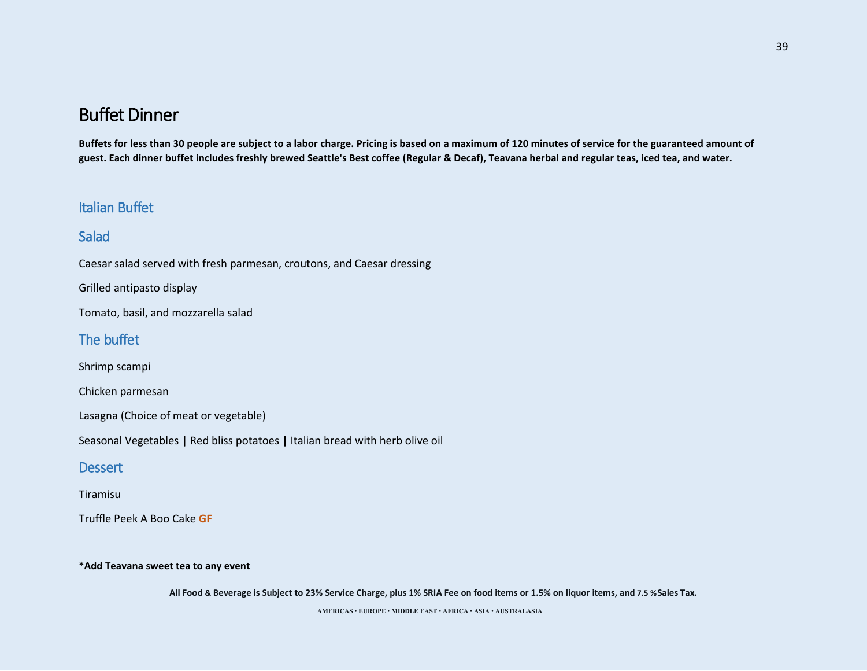**Buffets for less than 30 people are subject to a labor charge. Pricing is based on a maximum of 120 minutes of service for the guaranteed amount of guest. Each dinner buffet includes freshly brewed Seattle's Best coffee (Regular & Decaf), Teavana herbal and regular teas, iced tea, and water.** 

## Italian Buffet

## Salad

Caesar salad served with fresh parmesan, croutons, and Caesar dressing

Grilled antipasto display

Tomato, basil, and mozzarella salad

### The buffet

Shrimp scampi

Chicken parmesan

Lasagna (Choice of meat or vegetable)

Seasonal Vegetables **|** Red bliss potatoes **|** Italian bread with herb olive oil

#### **Dessert**

#### Tiramisu

Truffle Peek A Boo Cake **GF** 

#### **\*Add Teavana sweet tea to any event**

**All Food & Beverage is Subject to 23% Service Charge, plus 1% SRIA Fee on food items or 1.5% on liquor items, and 7.5 %Sales Tax.**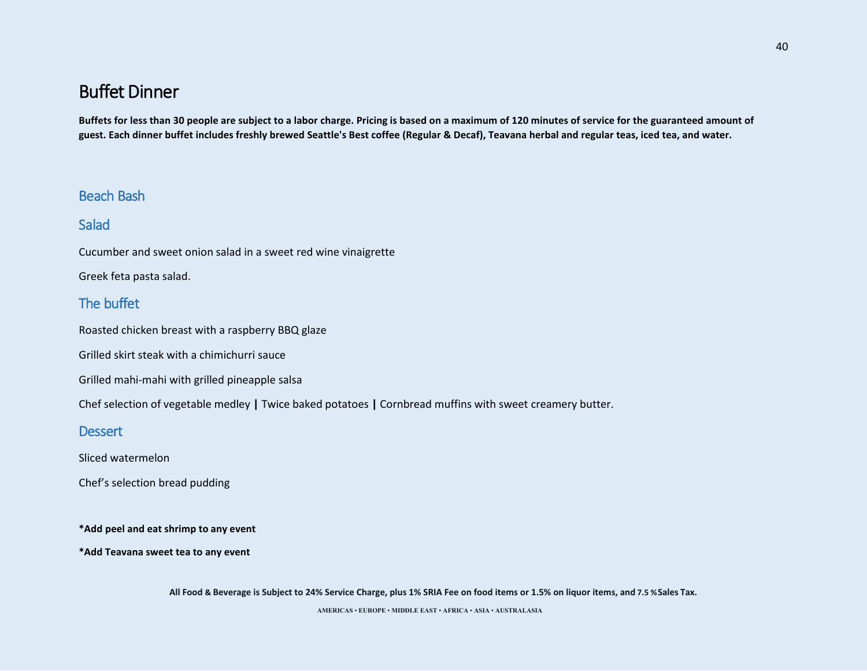**Buffets for less than 30 people are subject to a labor charge. Pricing is based on a maximum of 120 minutes of service for the guaranteed amount of guest. Each dinner buffet includes freshly brewed Seattle's Best coffee (Regular & Decaf), Teavana herbal and regular teas, iced tea, and water.** 

### Beach Bash

### **Salad**

Cucumber and sweet onion salad in a sweet red wine vinaigrette

Greek feta pasta salad.

## The buffet

Roasted chicken breast with a raspberry BBQ glaze

Grilled skirt steak with a chimichurri sauce

Grilled mahi-mahi with grilled pineapple salsa

Chef selection of vegetable medley **|** Twice baked potatoes **|** Cornbread muffins with sweet creamery butter.

### **Dessert**

Sliced watermelon

Chef's selection bread pudding

**\*Add peel and eat shrimp to any event**

**\*Add Teavana sweet tea to any event**

**All Food & Beverage is Subject to 24% Service Charge, plus 1% SRIA Fee on food items or 1.5% on liquor items, and 7.5 %Sales Tax.**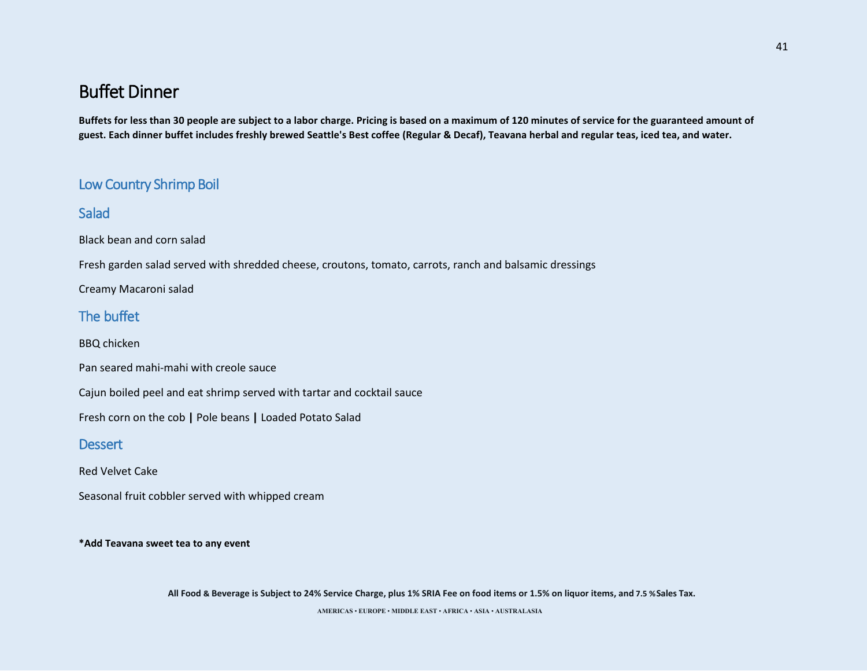**Buffets for less than 30 people are subject to a labor charge. Pricing is based on a maximum of 120 minutes of service for the guaranteed amount of guest. Each dinner buffet includes freshly brewed Seattle's Best coffee (Regular & Decaf), Teavana herbal and regular teas, iced tea, and water.** 

## Low Country Shrimp Boil

## Salad

Black bean and corn salad

Fresh garden salad served with shredded cheese, croutons, tomato, carrots, ranch and balsamic dressings

Creamy Macaroni salad

## The buffet

BBQ chicken

Pan seared mahi-mahi with creole sauce

Cajun boiled peel and eat shrimp served with tartar and cocktail sauce

Fresh corn on the cob **|** Pole beans **|** Loaded Potato Salad

### **Dessert**

Red Velvet Cake

Seasonal fruit cobbler served with whipped cream

**\*Add Teavana sweet tea to any event**

**All Food & Beverage is Subject to 24% Service Charge, plus 1% SRIA Fee on food items or 1.5% on liquor items, and 7.5 %Sales Tax.**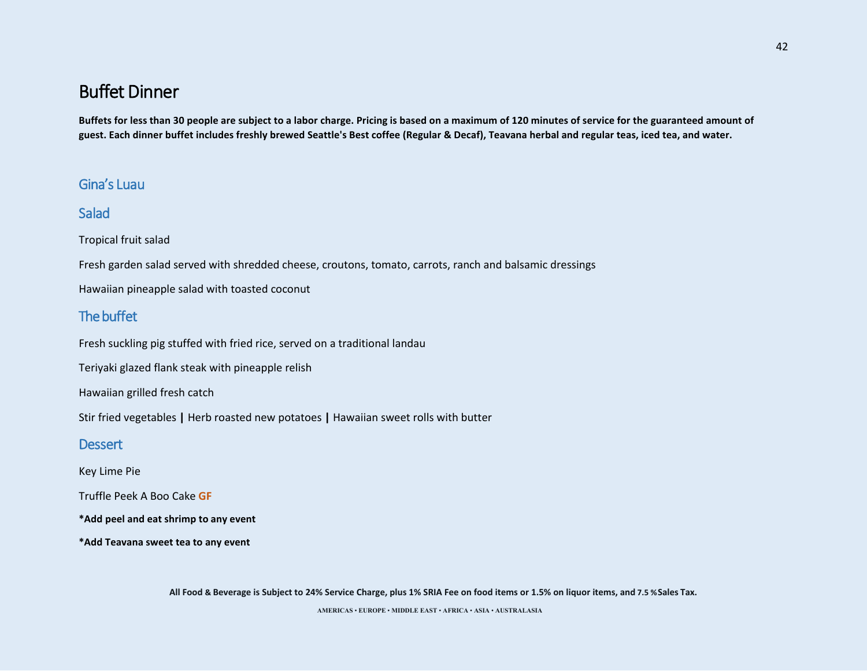**Buffets for less than 30 people are subject to a labor charge. Pricing is based on a maximum of 120 minutes of service for the guaranteed amount of guest. Each dinner buffet includes freshly brewed Seattle's Best coffee (Regular & Decaf), Teavana herbal and regular teas, iced tea, and water.** 

## Gina's Luau

## **Salad**

Tropical fruit salad

Fresh garden salad served with shredded cheese, croutons, tomato, carrots, ranch and balsamic dressings

Hawaiian pineapple salad with toasted coconut

## The buffet

Fresh suckling pig stuffed with fried rice, served on a traditional landau

Teriyaki glazed flank steak with pineapple relish

Hawaiian grilled fresh catch

Stir fried vegetables **|** Herb roasted new potatoes **|** Hawaiian sweet rolls with butter

### **Dessert**

Key Lime Pie

Truffle Peek A Boo Cake **GF**

**\*Add peel and eat shrimp to any event**

**\*Add Teavana sweet tea to any event**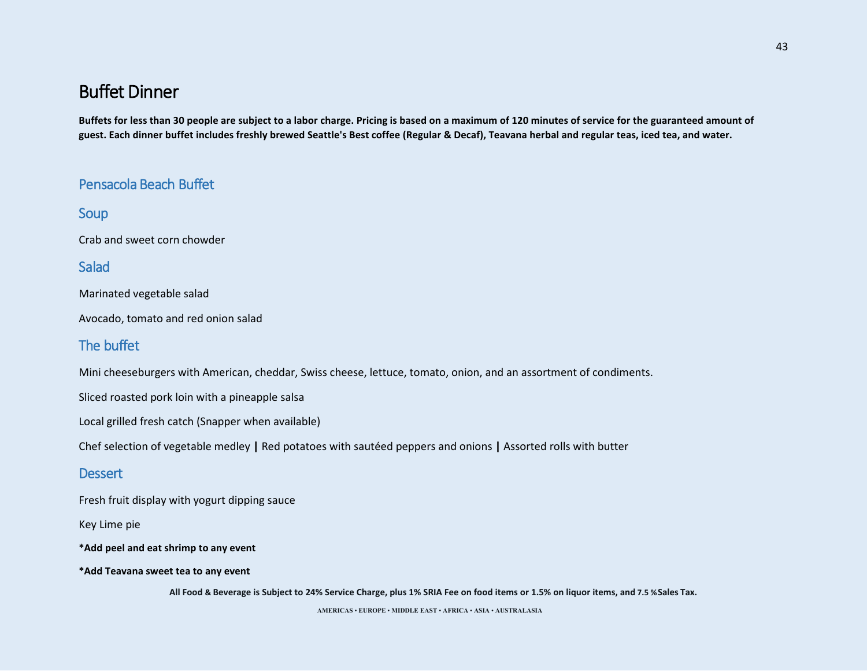**Buffets for less than 30 people are subject to a labor charge. Pricing is based on a maximum of 120 minutes of service for the guaranteed amount of guest. Each dinner buffet includes freshly brewed Seattle's Best coffee (Regular & Decaf), Teavana herbal and regular teas, iced tea, and water.** 

## Pensacola Beach Buffet

Soup

Crab and sweet corn chowder

**Salad** 

Marinated vegetable salad

Avocado, tomato and red onion salad

## The buffet

Mini cheeseburgers with American, cheddar, Swiss cheese, lettuce, tomato, onion, and an assortment of condiments.

Sliced roasted pork loin with a pineapple salsa

Local grilled fresh catch (Snapper when available)

Chef selection of vegetable medley **|** Red potatoes with sautéed peppers and onions **|** Assorted rolls with butter

### **Dessert**

Fresh fruit display with yogurt dipping sauce

Key Lime pie

**\*Add peel and eat shrimp to any event**

**\*Add Teavana sweet tea to any event**

**All Food & Beverage is Subject to 24% Service Charge, plus 1% SRIA Fee on food items or 1.5% on liquor items, and 7.5 %Sales Tax.**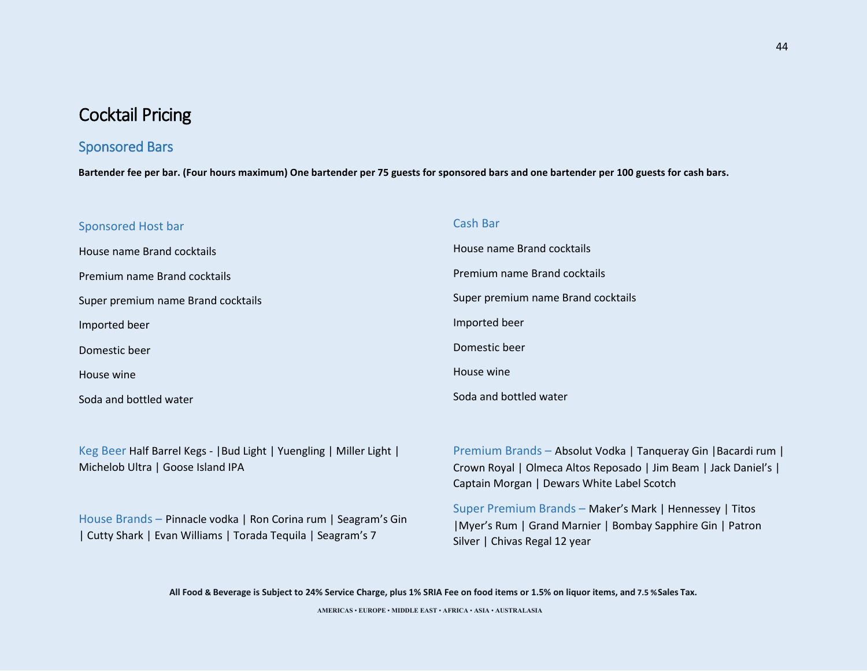### Sponsored Bars

**Bartender fee per bar. (Four hours maximum) One bartender per 75 guests for sponsored bars and one bartender per 100 guests for cash bars.** 

#### Sponsored Host bar

House name Brand cocktails Premium name Brand cocktails Super premium name Brand cocktails Imported beer Domestic beer House wine Soda and bottled water

#### Cash Bar

House name Brand cocktails Premium name Brand cocktails Super premium name Brand cocktails Imported beer Domestic beer House wine Soda and bottled water

Keg Beer Half Barrel Kegs - |Bud Light | Yuengling | Miller Light | Michelob Ultra | Goose Island IPA

House Brands – Pinnacle vodka | Ron Corina rum | Seagram's Gin | Cutty Shark | Evan Williams | Torada Tequila | Seagram's 7

Premium Brands – Absolut Vodka | Tanqueray Gin |Bacardi rum | Crown Royal | Olmeca Altos Reposado | Jim Beam | Jack Daniel's | Captain Morgan | Dewars White Label Scotch

Super Premium Brands – Maker's Mark | Hennessey | Titos |Myer's Rum | Grand Marnier | Bombay Sapphire Gin | Patron Silver | Chivas Regal 12 year

**All Food & Beverage is Subject to 24% Service Charge, plus 1% SRIA Fee on food items or 1.5% on liquor items, and 7.5 %Sales Tax.**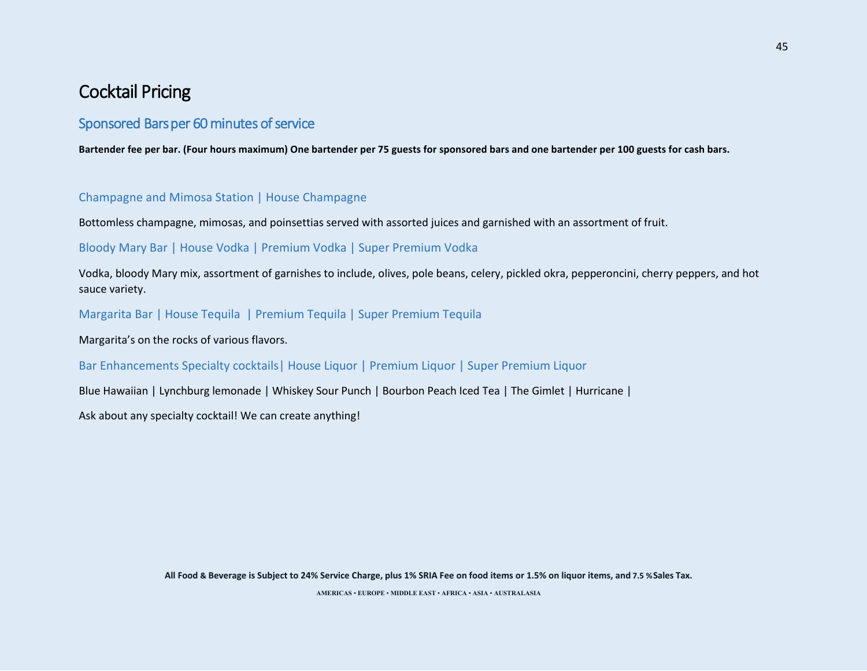### Sponsored Bars per 60 minutes of service

**Bartender fee per bar. (Four hours maximum) One bartender per 75 guests for sponsored bars and one bartender per 100 guests for cash bars.** 

#### Champagne and Mimosa Station | House Champagne

Bottomless champagne, mimosas, and poinsettias served with assorted juices and garnished with an assortment of fruit.

#### Bloody Mary Bar | House Vodka | Premium Vodka | Super Premium Vodka

Vodka, bloody Mary mix, assortment of garnishes to include, olives, pole beans, celery, pickled okra, pepperoncini, cherry peppers, and hot sauce variety.

Margarita Bar | House Tequila | Premium Tequila | Super Premium Tequila

Margarita's on the rocks of various flavors.

### Bar Enhancements Specialty cocktails| House Liquor | Premium Liquor | Super Premium Liquor

Blue Hawaiian | Lynchburg lemonade | Whiskey Sour Punch | Bourbon Peach Iced Tea | The Gimlet | Hurricane |

Ask about any specialty cocktail! We can create anything!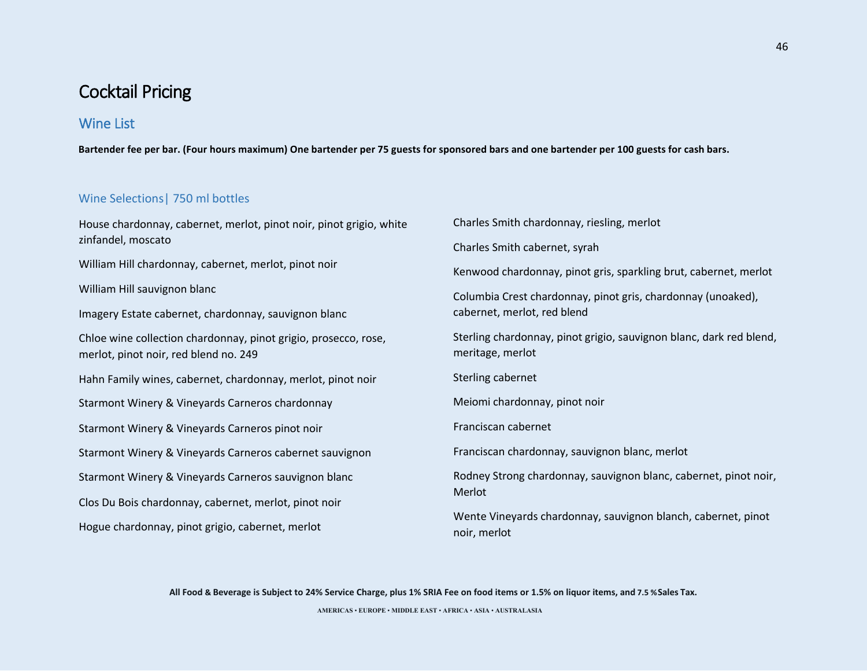## Wine List

**Bartender fee per bar. (Four hours maximum) One bartender per 75 guests for sponsored bars and one bartender per 100 guests for cash bars.** 

### Wine Selections| 750 ml bottles

House chardonnay, cabernet, merlot, pinot noir, pinot grigio, white zinfandel, moscato William Hill chardonnay, cabernet, merlot, pinot noir William Hill sauvignon blanc Imagery Estate cabernet, chardonnay, sauvignon blanc Chloe wine collection chardonnay, pinot grigio, prosecco, rose, merlot, pinot noir, red blend no. 249 Hahn Family wines, cabernet, chardonnay, merlot, pinot noir Starmont Winery & Vineyards Carneros chardonnay Starmont Winery & Vineyards Carneros pinot noir Starmont Winery & Vineyards Carneros cabernet sauvignon Starmont Winery & Vineyards Carneros sauvignon blanc Clos Du Bois chardonnay, cabernet, merlot, pinot noir Hogue chardonnay, pinot grigio, cabernet, merlot noir, merlot

Charles Smith chardonnay, riesling, merlot Charles Smith cabernet, syrah Kenwood chardonnay, pinot gris, sparkling brut, cabernet, merlot Columbia Crest chardonnay, pinot gris, chardonnay (unoaked), cabernet, merlot, red blend Sterling chardonnay, pinot grigio, sauvignon blanc, dark red blend, meritage, merlot Sterling cabernet Meiomi chardonnay, pinot noir Franciscan cabernet Franciscan chardonnay, sauvignon blanc, merlot Rodney Strong chardonnay, sauvignon blanc, cabernet, pinot noir, Merlot Wente Vineyards chardonnay, sauvignon blanch, cabernet, pinot

**All Food & Beverage is Subject to 24% Service Charge, plus 1% SRIA Fee on food items or 1.5% on liquor items, and 7.5 %Sales Tax.**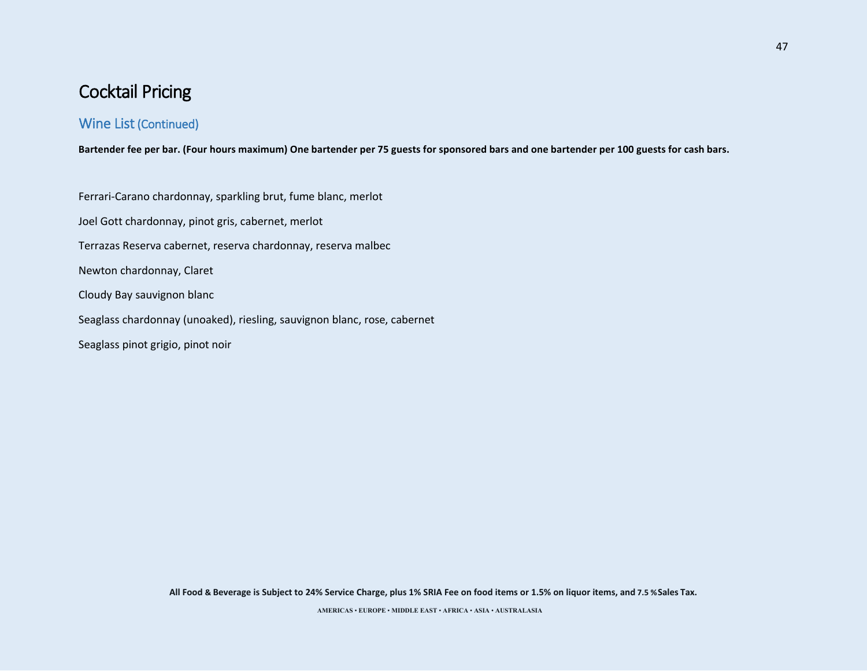## Wine List (Continued)

**Bartender fee per bar. (Four hours maximum) One bartender per 75 guests for sponsored bars and one bartender per 100 guests for cash bars.** 

Ferrari-Carano chardonnay, sparkling brut, fume blanc, merlot Joel Gott chardonnay, pinot gris, cabernet, merlot Terrazas Reserva cabernet, reserva chardonnay, reserva malbec Newton chardonnay, Claret Cloudy Bay sauvignon blanc Seaglass chardonnay (unoaked), riesling, sauvignon blanc, rose, cabernet Seaglass pinot grigio, pinot noir